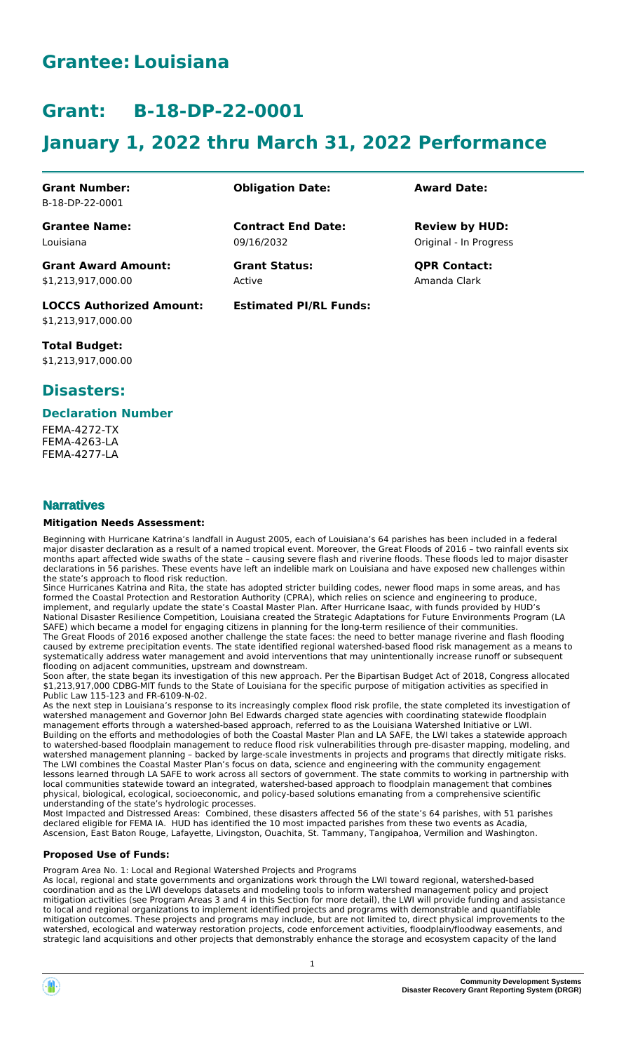# **Grantee: Louisiana**

# **Grant: B-18-DP-22-0001**

# **January 1, 2022 thru March 31, 2022 Performance**

**Contract End Date:**

**Estimated PI/RL Funds:**

09/16/2032

Active

**Grant Number:** B-18-DP-22-0001

**Grantee Name:** Louisiana

**Grant Award Amount:** \$1,213,917,000.00

**LOCCS Authorized Amount:** \$1,213,917,000.00

**Total Budget:** \$1,213,917,000.00

## **Disasters:**

#### **Declaration Number**

FEMA-4272-TX FEMA-4263-LA FEMA-4277-LA

### **Narratives**

#### **Mitigation Needs Assessment:**

Beginning with Hurricane Katrina's landfall in August 2005, each of Louisiana's 64 parishes has been included in a federal major disaster declaration as a result of a named tropical event. Moreover, the Great Floods of 2016 – two rainfall events six months apart affected wide swaths of the state – causing severe flash and riverine floods. These floods led to major disaster declarations in 56 parishes. These events have left an indelible mark on Louisiana and have exposed new challenges within the state's approach to flood risk reduction.

Since Hurricanes Katrina and Rita, the state has adopted stricter building codes, newer flood maps in some areas, and has formed the Coastal Protection and Restoration Authority (CPRA), which relies on science and engineering to produce, implement, and regularly update the state's Coastal Master Plan. After Hurricane Isaac, with funds provided by HUD's National Disaster Resilience Competition, Louisiana created the Strategic Adaptations for Future Environments Program (LA SAFE) which became a model for engaging citizens in planning for the long-term resilience of their communities. The Great Floods of 2016 exposed another challenge the state faces: the need to better manage riverine and flash flooding caused by extreme precipitation events. The state identified regional watershed-based flood risk management as a means to systematically address water management and avoid interventions that may unintentionally increase runoff or subsequent flooding on adjacent communities, upstream and downstream.

Soon after, the state began its investigation of this new approach. Per the Bipartisan Budget Act of 2018, Congress allocated \$1,213,917,000 CDBG-MIT funds to the State of Louisiana for the specific purpose of mitigation activities as specified in Public Law 115-123 and FR-6109-N-02.

As the next step in Louisiana's response to its increasingly complex flood risk profile, the state completed its investigation of watershed management and Governor John Bel Edwards charged state agencies with coordinating statewide floodplain management efforts through a watershed-based approach, referred to as the Louisiana Watershed Initiative or LWI. Building on the efforts and methodologies of both the Coastal Master Plan and LA SAFE, the LWI takes a statewide approach to watershed-based floodplain management to reduce flood risk vulnerabilities through pre-disaster mapping, modeling, and watershed management planning – backed by large-scale investments in projects and programs that directly mitigate risks. The LWI combines the Coastal Master Plan's focus on data, science and engineering with the community engagement lessons learned through LA SAFE to work across all sectors of government. The state commits to working in partnership with local communities statewide toward an integrated, watershed-based approach to floodplain management that combines physical, biological, ecological, socioeconomic, and policy-based solutions emanating from a comprehensive scientific understanding of the state's hydrologic processes.

Most Impacted and Distressed Areas: Combined, these disasters affected 56 of the state's 64 parishes, with 51 parishes declared eligible for FEMA IA. HUD has identified the 10 most impacted parishes from these two events as Acadia, Ascension, East Baton Rouge, Lafayette, Livingston, Ouachita, St. Tammany, Tangipahoa, Vermilion and Washington.

#### **Proposed Use of Funds:**

Program Area No. 1: Local and Regional Watershed Projects and Programs

As local, regional and state governments and organizations work through the LWI toward regional, watershed-based coordination and as the LWI develops datasets and modeling tools to inform watershed management policy and project mitigation activities (see Program Areas 3 and 4 in this Section for more detail), the LWI will provide funding and assistance to local and regional organizations to implement identified projects and programs with demonstrable and quantifiable mitigation outcomes. These projects and programs may include, but are not limited to, direct physical improvements to the watershed, ecological and waterway restoration projects, code enforcement activities, floodplain/floodway easements, and strategic land acquisitions and other projects that demonstrably enhance the storage and ecosystem capacity of the land

### **Obligation Date: Award Date:**

Original - In Progress **Review by HUD:**

**Grant Status: QPR Contact:** Amanda Clark

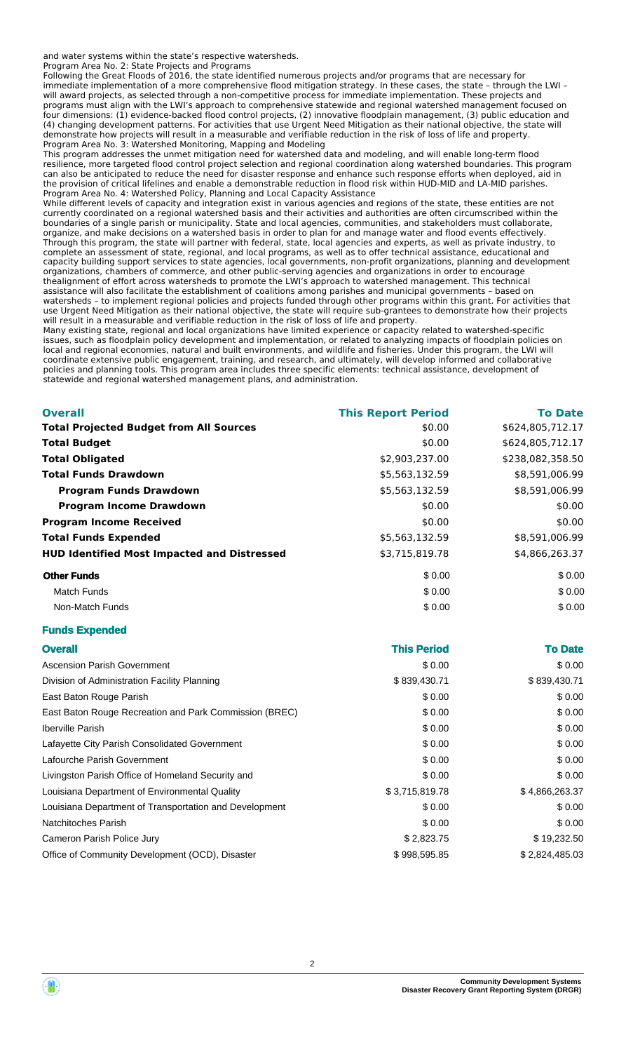and water systems within the state's respective watersheds.

Program Area No. 2: State Projects and Programs

Following the Great Floods of 2016, the state identified numerous projects and/or programs that are necessary for immediate implementation of a more comprehensive flood mitigation strategy. In these cases, the state – through the LWI – will award projects, as selected through a non-competitive process for immediate implementation. These projects and programs must align with the LWI's approach to comprehensive statewide and regional watershed management focused on four dimensions: (1) evidence-backed flood control projects, (2) innovative floodplain management, (3) public education and (4) changing development patterns. For activities that use Urgent Need Mitigation as their national objective, the state will demonstrate how projects will result in a measurable and verifiable reduction in the risk of loss of life and property. Program Area No. 3: Watershed Monitoring, Mapping and Modeling

This program addresses the unmet mitigation need for watershed data and modeling, and will enable long-term flood resilience, more targeted flood control project selection and regional coordination along watershed boundaries. This program can also be anticipated to reduce the need for disaster response and enhance such response efforts when deployed, aid in the provision of critical lifelines and enable a demonstrable reduction in flood risk within HUD-MID and LA-MID parishes. Program Area No. 4: Watershed Policy, Planning and Local Capacity Assistance

While different levels of capacity and integration exist in various agencies and regions of the state, these entities are not currently coordinated on a regional watershed basis and their activities and authorities are often circumscribed within the boundaries of a single parish or municipality. State and local agencies, communities, and stakeholders must collaborate, organize, and make decisions on a watershed basis in order to plan for and manage water and flood events effectively. Through this program, the state will partner with federal, state, local agencies and experts, as well as private industry, to complete an assessment of state, regional, and local programs, as well as to offer technical assistance, educational and capacity building support services to state agencies, local governments, non-profit organizations, planning and development organizations, chambers of commerce, and other public-serving agencies and organizations in order to encourage thealignment of effort across watersheds to promote the LWI's approach to watershed management. This technical assistance will also facilitate the establishment of coalitions among parishes and municipal governments – based on watersheds – to implement regional policies and projects funded through other programs within this grant. For activities that use Urgent Need Mitigation as their national objective, the state will require sub-grantees to demonstrate how their projects will result in a measurable and verifiable reduction in the risk of loss of life and property.

Many existing state, regional and local organizations have limited experience or capacity related to watershed-specific issues, such as floodplain policy development and implementation, or related to analyzing impacts of floodplain policies on local and regional economies, natural and built environments, and wildlife and fisheries. Under this program, the LWI will coordinate extensive public engagement, training, and research, and ultimately, will develop informed and collaborative policies and planning tools. This program area includes three specific elements: technical assistance, development of statewide and regional watershed management plans, and administration.

| <b>Overall</b>                                     | <b>This Report Period</b> | <b>To Date</b>   |
|----------------------------------------------------|---------------------------|------------------|
| <b>Total Projected Budget from All Sources</b>     | \$0.00                    | \$624,805,712.17 |
| <b>Total Budget</b>                                | \$0.00                    | \$624,805,712.17 |
| <b>Total Obligated</b>                             | \$2,903,237.00            | \$238,082,358.50 |
| Total Funds Drawdown                               | \$5,563,132.59            | \$8,591,006.99   |
| <b>Program Funds Drawdown</b>                      | \$5,563,132.59            | \$8,591,006.99   |
| <b>Program Income Drawdown</b>                     | \$0.00                    | \$0.00           |
| <b>Program Income Received</b>                     | \$0.00                    | \$0.00           |
| <b>Total Funds Expended</b>                        | \$5,563,132.59            | \$8,591,006.99   |
| <b>HUD Identified Most Impacted and Distressed</b> | \$3,715,819.78            | \$4,866,263.37   |
| <b>Other Funds</b>                                 | \$0.00                    | \$0.00           |
| <b>Match Funds</b>                                 | \$0.00                    | \$0.00           |
| Non-Match Funds                                    | \$0.00                    | \$0.00           |
| <b>Funds Expended</b>                              |                           |                  |
|                                                    |                           |                  |

| <b>Overall</b>                                         | <b>This Period</b> | <b>To Date</b> |
|--------------------------------------------------------|--------------------|----------------|
| <b>Ascension Parish Government</b>                     | \$0.00             | \$0.00         |
| Division of Administration Facility Planning           | \$839,430.71       | \$839,430.71   |
| East Baton Rouge Parish                                | \$0.00             | \$0.00         |
| East Baton Rouge Recreation and Park Commission (BREC) | \$0.00             | \$0.00         |
| <b>Iberville Parish</b>                                | \$0.00             | \$0.00         |
| Lafayette City Parish Consolidated Government          | \$0.00             | \$0.00         |
| Lafourche Parish Government                            | \$0.00             | \$0.00         |
| Livingston Parish Office of Homeland Security and      | \$0.00             | \$0.00         |
| Louisiana Department of Environmental Quality          | \$3,715,819.78     | \$4,866,263.37 |
| Louisiana Department of Transportation and Development | \$0.00             | \$0.00         |
| Natchitoches Parish                                    | \$0.00             | \$0.00         |
| Cameron Parish Police Jury                             | \$2,823.75         | \$19,232.50    |
| Office of Community Development (OCD), Disaster        | \$998,595.85       | \$2,824,485.03 |



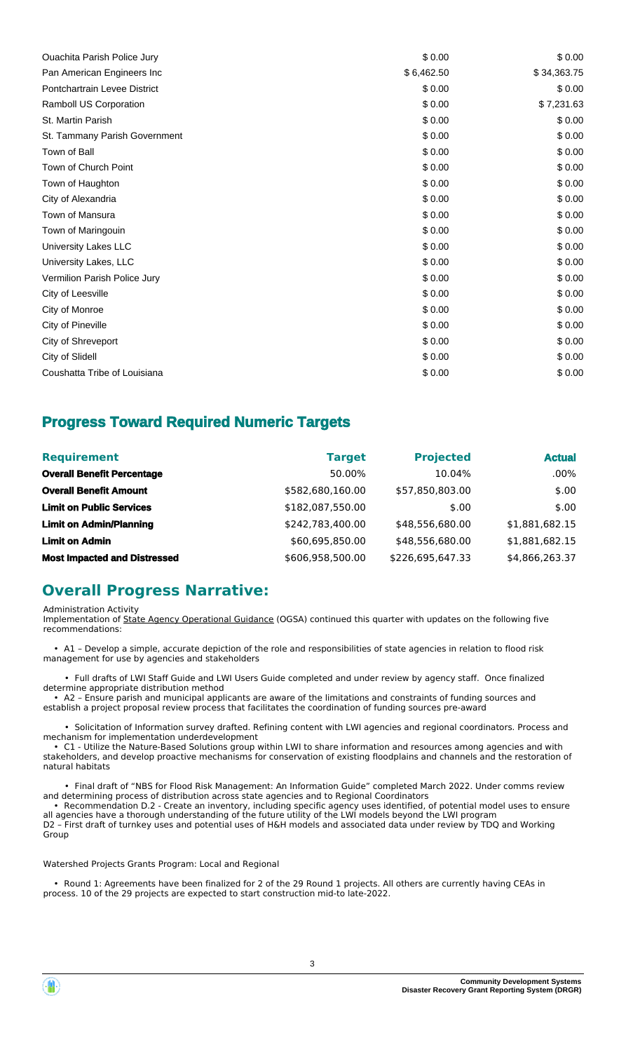| <b>Ouachita Parish Police Jury</b> | \$0.00     | \$0.00      |
|------------------------------------|------------|-------------|
| Pan American Engineers Inc         | \$6,462.50 | \$34,363.75 |
| Pontchartrain Levee District       | \$0.00     | \$0.00      |
| Ramboll US Corporation             | \$0.00     | \$7,231.63  |
| St. Martin Parish                  | \$0.00     | \$0.00      |
| St. Tammany Parish Government      | \$0.00     | \$0.00      |
| Town of Ball                       | \$0.00     | \$0.00      |
| Town of Church Point               | \$0.00     | \$0.00      |
| Town of Haughton                   | \$0.00     | \$0.00      |
| City of Alexandria                 | \$0.00     | \$0.00      |
| Town of Mansura                    | \$0.00     | \$0.00      |
| Town of Maringouin                 | \$0.00     | \$0.00      |
| University Lakes LLC               | \$0.00     | \$0.00      |
| University Lakes, LLC              | \$0.00     | \$0.00      |
| Vermilion Parish Police Jury       | \$0.00     | \$0.00      |
| City of Leesville                  | \$0.00     | \$0.00      |
| City of Monroe                     | \$0.00     | \$0.00      |
| City of Pineville                  | \$0.00     | \$0.00      |
| City of Shreveport                 | \$0.00     | \$0.00      |
| City of Slidell                    | \$0.00     | \$0.00      |
| Coushatta Tribe of Louisiana       | \$0.00     | \$0.00      |

## **Progress Toward Required Numeric Targets**

| <b>Requirement</b>                  | <b>Target</b>    | <b>Projected</b> | <b>Actual</b>  |
|-------------------------------------|------------------|------------------|----------------|
| <b>Overall Benefit Percentage</b>   | 50.00%           | 10.04%           | $.00\%$        |
| <b>Overall Benefit Amount</b>       | \$582,680,160.00 | \$57,850,803.00  | \$.00          |
| <b>Limit on Public Services</b>     | \$182,087,550.00 | \$.00            | \$.00          |
| <b>Limit on Admin/Planning</b>      | \$242,783,400.00 | \$48,556,680.00  | \$1,881,682.15 |
| <b>Limit on Admin</b>               | \$60,695,850.00  | \$48,556,680.00  | \$1,881,682.15 |
| <b>Most Impacted and Distressed</b> | \$606,958,500.00 | \$226,695,647.33 | \$4,866,263.37 |

## **Overall Progress Narrative:**

Administration Activity

Implementation of State Agency Operational Guidance (OGSA) continued this quarter with updates on the following five recommendations:

 • A1 – Develop a simple, accurate depiction of the role and responsibilities of state agencies in relation to flood risk management for use by agencies and stakeholders

 • Full drafts of LWI Staff Guide and LWI Users Guide completed and under review by agency staff. Once finalized determine appropriate distribution method

 • A2 – Ensure parish and municipal applicants are aware of the limitations and constraints of funding sources and establish a project proposal review process that facilitates the coordination of funding sources pre-award

 • Solicitation of Information survey drafted. Refining content with LWI agencies and regional coordinators. Process and mechanism for implementation underdevelopment

 • C1 - Utilize the Nature-Based Solutions group within LWI to share information and resources among agencies and with stakeholders, and develop proactive mechanisms for conservation of existing floodplains and channels and the restoration of natural habitats

 • Final draft of "NBS for Flood Risk Management: An Information Guide" completed March 2022. Under comms review and determining process of distribution across state agencies and to Regional Coordinators

 • Recommendation D.2 - Create an inventory, including specific agency uses identified, of potential model uses to ensure all agencies have a thorough understanding of the future utility of the LWI models beyond the LWI program D2 – First draft of turnkey uses and potential uses of H&H models and associated data under review by TDQ and Working Group

Watershed Projects Grants Program: Local and Regional

 • Round 1: Agreements have been finalized for 2 of the 29 Round 1 projects. All others are currently having CEAs in process. 10 of the 29 projects are expected to start construction mid-to late-2022.

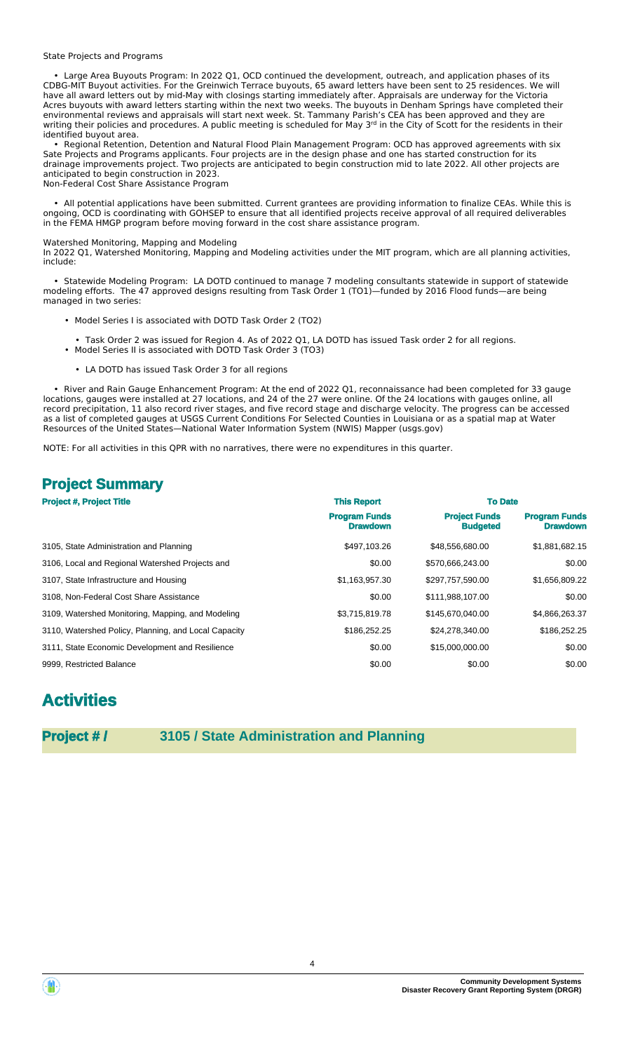#### State Projects and Programs

 • Large Area Buyouts Program: In 2022 Q1, OCD continued the development, outreach, and application phases of its CDBG-MIT Buyout activities. For the Greinwich Terrace buyouts, 65 award letters have been sent to 25 residences. We will have all award letters out by mid-May with closings starting immediately after. Appraisals are underway for the Victoria Acres buyouts with award letters starting within the next two weeks. The buyouts in Denham Springs have completed their environmental reviews and appraisals will start next week. St. Tammany Parish's CEA has been approved and they are writing their policies and procedures. A public meeting is scheduled for May 3<sup>rd</sup> in the City of Scott for the residents in their identified buyout area.

 • Regional Retention, Detention and Natural Flood Plain Management Program: OCD has approved agreements with six Sate Projects and Programs applicants. Four projects are in the design phase and one has started construction for its drainage improvements project. Two projects are anticipated to begin construction mid to late 2022. All other projects are anticipated to begin construction in 2023. Non-Federal Cost Share Assistance Program

 • All potential applications have been submitted. Current grantees are providing information to finalize CEAs. While this is ongoing, OCD is coordinating with GOHSEP to ensure that all identified projects receive approval of all required deliverables in the FEMA HMGP program before moving forward in the cost share assistance program.

#### Watershed Monitoring, Mapping and Modeling

In 2022 Q1, Watershed Monitoring, Mapping and Modeling activities under the MIT program, which are all planning activities, include:

 • Statewide Modeling Program: LA DOTD continued to manage 7 modeling consultants statewide in support of statewide modeling efforts. The 47 approved designs resulting from Task Order 1 (TO1)—funded by 2016 Flood funds—are being managed in two series:

- Model Series I is associated with DOTD Task Order 2 (TO2)
- Task Order 2 was issued for Region 4. As of 2022 Q1, LA DOTD has issued Task order 2 for all regions. • Model Series II is associated with DOTD Task Order 3 (TO3)
- LA DOTD has issued Task Order 3 for all regions

 • River and Rain Gauge Enhancement Program: At the end of 2022 Q1, reconnaissance had been completed for 33 gauge locations, gauges were installed at 27 locations, and 24 of the 27 were online. Of the 24 locations with gauges online, all record precipitation, 11 also record river stages, and five record stage and discharge velocity. The progress can be accessed as a list of completed gauges at USGS Current Conditions For Selected Counties in Louisiana or as a spatial map at Water Resources of the United States—National Water Information System (NWIS) Mapper (usgs.gov)

NOTE: For all activities in this QPR with no narratives, there were no expenditures in this quarter.

## **Project Summary**

| <b>Project #, Project Title</b>                      | <b>This Report</b>                      |                                         | <b>To Date</b>                          |  |
|------------------------------------------------------|-----------------------------------------|-----------------------------------------|-----------------------------------------|--|
|                                                      | <b>Program Funds</b><br><b>Drawdown</b> | <b>Project Funds</b><br><b>Budgeted</b> | <b>Program Funds</b><br><b>Drawdown</b> |  |
| 3105, State Administration and Planning              | \$497,103.26                            | \$48,556,680.00                         | \$1,881,682.15                          |  |
| 3106, Local and Regional Watershed Projects and      | \$0.00                                  | \$570,666,243.00                        | \$0.00                                  |  |
| 3107, State Infrastructure and Housing               | \$1,163,957.30                          | \$297,757,590.00                        | \$1,656,809.22                          |  |
| 3108. Non-Federal Cost Share Assistance              | \$0.00                                  | \$111,988,107.00                        | \$0.00                                  |  |
| 3109, Watershed Monitoring, Mapping, and Modeling    | \$3,715,819.78                          | \$145,670,040.00                        | \$4,866,263.37                          |  |
| 3110, Watershed Policy, Planning, and Local Capacity | \$186,252.25                            | \$24,278,340.00                         | \$186,252.25                            |  |
| 3111, State Economic Development and Resilience      | \$0.00                                  | \$15,000,000.00                         | \$0.00                                  |  |
| 9999. Restricted Balance                             | \$0.00                                  | \$0.00                                  | \$0.00                                  |  |

## **Activities**

## **Project # / 3105 / State Administration and Planning**



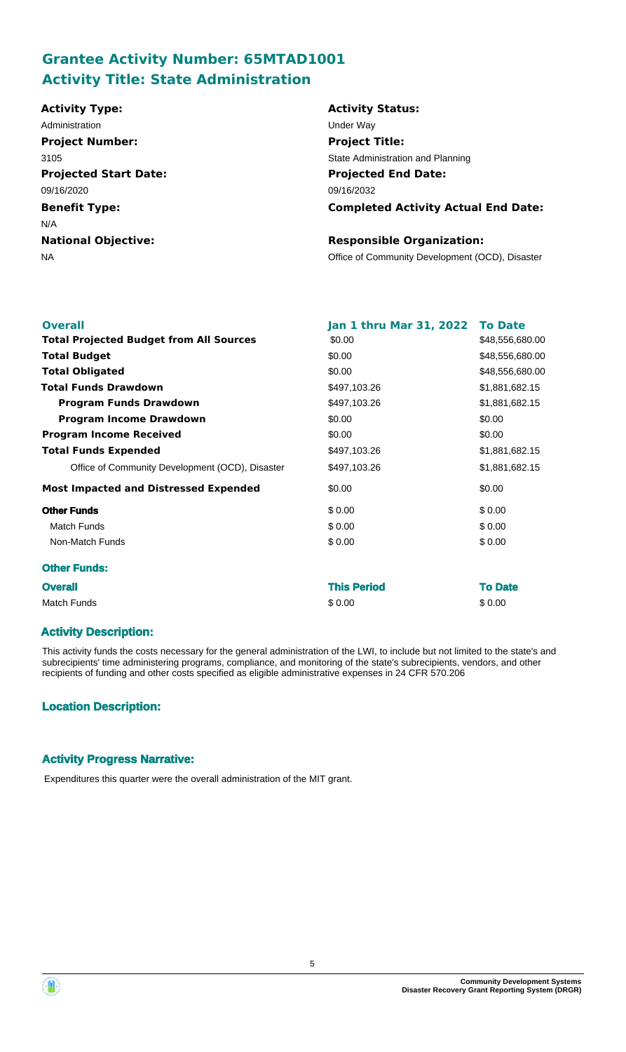# **Grantee Activity Number: 65MTAD1001 Activity Title: State Administration**

#### **Projected Start Date: Benefit Type:** NA Office of Community Development (OCD), Disaster **National Objective: Activity Status: Projected End Date: Completed Activity Actual End Date: Activity Type:** 09/16/2032 09/16/2020 N/A **Responsible Organization:** Administration **Manufacture 1999** Under Way **Project Number:** 3105 **Project Title:** State Administration and Planning

| <b>Overall</b><br><b>Total Projected Budget from All Sources</b> | Jan 1 thru Mar 31, 2022 To Date<br>\$0.00 | \$48,556,680.00 |
|------------------------------------------------------------------|-------------------------------------------|-----------------|
| <b>Total Budget</b>                                              | \$0.00                                    | \$48,556,680.00 |
| <b>Total Obligated</b>                                           | \$0.00                                    | \$48,556,680.00 |
| <b>Total Funds Drawdown</b>                                      | \$497,103.26                              | \$1,881,682.15  |
| <b>Program Funds Drawdown</b>                                    | \$497,103.26                              | \$1,881,682.15  |
| <b>Program Income Drawdown</b>                                   | \$0.00                                    | \$0.00          |
| <b>Program Income Received</b>                                   | \$0.00                                    | \$0.00          |
| <b>Total Funds Expended</b>                                      | \$497,103.26                              | \$1,881,682.15  |
| Office of Community Development (OCD), Disaster                  | \$497,103.26                              | \$1,881,682.15  |
| <b>Most Impacted and Distressed Expended</b>                     | \$0.00                                    | \$0.00          |
| <b>Other Funds</b>                                               | \$0.00                                    | \$0.00          |
| <b>Match Funds</b>                                               | \$0.00                                    | \$0.00          |
| Non-Match Funds                                                  | \$0.00                                    | \$0.00          |
| <b>Other Funds:</b>                                              |                                           |                 |
| <b>Overall</b>                                                   | <b>This Period</b>                        | <b>To Date</b>  |
| <b>Match Funds</b>                                               | \$0.00                                    | \$0.00          |

## **Activity Description:**

This activity funds the costs necessary for the general administration of the LWI, to include but not limited to the state's and subrecipients' time administering programs, compliance, and monitoring of the state's subrecipients, vendors, and other recipients of funding and other costs specified as eligible administrative expenses in 24 CFR 570.206

## **Location Description:**

## **Activity Progress Narrative:**

Expenditures this quarter were the overall administration of the MIT grant.

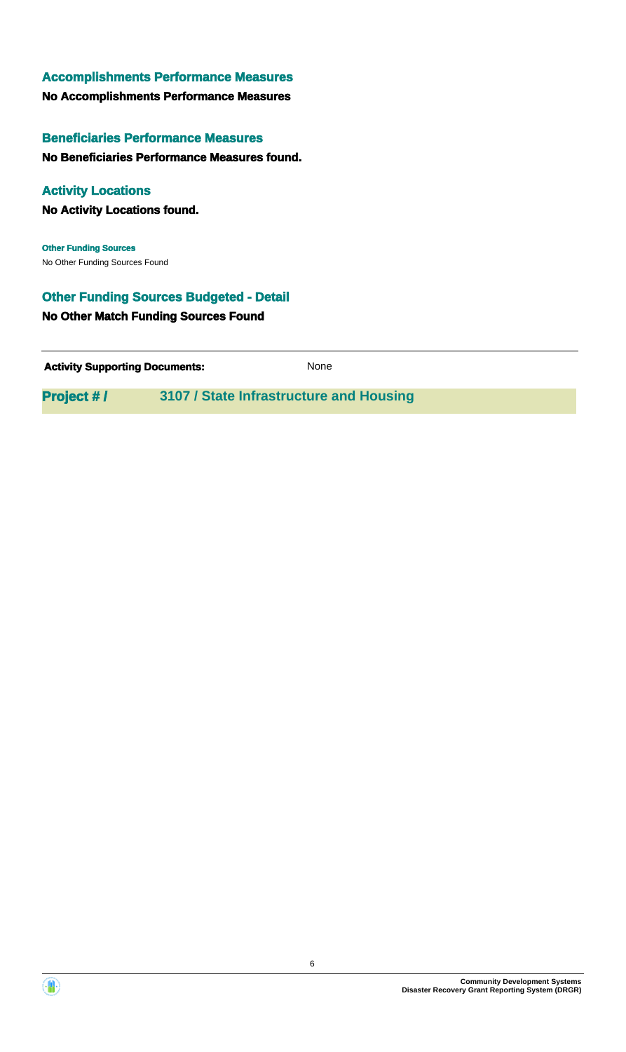**No Accomplishments Performance Measures**

## **Beneficiaries Performance Measures**

**No Beneficiaries Performance Measures found.**

## **Activity Locations**

**No Activity Locations found.**

No Other Funding Sources Found **Other Funding Sources**

## **Other Funding Sources Budgeted - Detail**

**No Other Match Funding Sources Found**

**Activity Supporting Documents:** None

**Project # / 3107 / State Infrastructure and Housing**



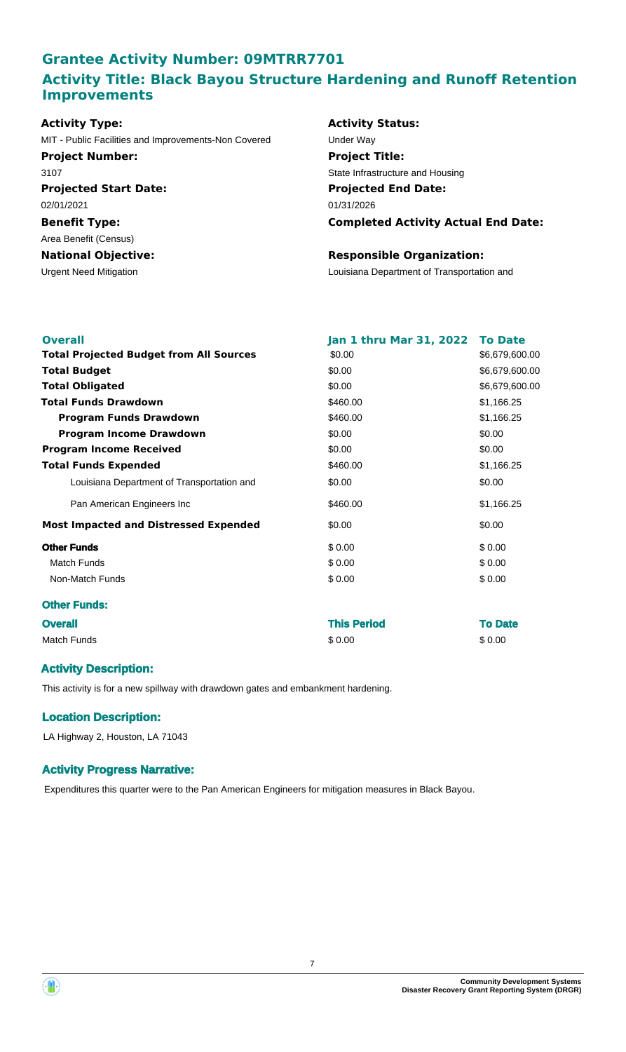## **Grantee Activity Number: 09MTRR7701 Activity Title: Black Bayou Structure Hardening and Runoff Retention Improvements**

| <b>Activity Type:</b>                               |
|-----------------------------------------------------|
| MIT - Public Facilities and Improvements-Non Covere |
| <b>Project Number:</b>                              |
| 3107                                                |
| <b>Projected Start Date:</b>                        |
| 02/01/2021                                          |
| <b>Benefit Type:</b>                                |
| Area Benefit (Census)                               |
| <b>National Objective:</b>                          |
| <b>Urgent Need Mitigation</b>                       |
|                                                     |

## **Activity Status: Projected End Date:** 01/31/2026 ed Under Way **Project Title:** State Infrastructure and Housing

**Completed Activity Actual End Date:**

### **Responsible Organization:**

Louisiana Department of Transportation and

| <b>Overall</b>                                 | Jan 1 thru Mar 31, 2022 | <b>To Date</b> |
|------------------------------------------------|-------------------------|----------------|
| <b>Total Projected Budget from All Sources</b> | \$0.00                  | \$6,679,600.00 |
| <b>Total Budget</b>                            | \$0.00                  | \$6,679,600.00 |
| <b>Total Obligated</b>                         | \$0.00                  | \$6,679,600.00 |
| <b>Total Funds Drawdown</b>                    | \$460.00                | \$1,166.25     |
| <b>Program Funds Drawdown</b>                  | \$460.00                | \$1,166.25     |
| <b>Program Income Drawdown</b>                 | \$0.00                  | \$0.00         |
| <b>Program Income Received</b>                 | \$0.00                  | \$0.00         |
| <b>Total Funds Expended</b>                    | \$460.00                | \$1,166.25     |
| Louisiana Department of Transportation and     | \$0.00                  | \$0.00         |
| Pan American Engineers Inc                     | \$460.00                | \$1,166.25     |
| <b>Most Impacted and Distressed Expended</b>   | \$0.00                  | \$0.00         |
| <b>Other Funds</b>                             | \$0.00                  | \$0.00         |
| <b>Match Funds</b>                             | \$0.00                  | \$0.00         |
| Non-Match Funds                                | \$0.00                  | \$0.00         |
| <b>Other Funds:</b>                            |                         |                |
| <b>Overall</b>                                 | <b>This Period</b>      | <b>To Date</b> |

Match Funds \$ 0.00 \$ 0.00

## **Activity Description:**

This activity is for a new spillway with drawdown gates and embankment hardening.

### **Location Description:**

LA Highway 2, Houston, LA 71043

### **Activity Progress Narrative:**

Expenditures this quarter were to the Pan American Engineers for mitigation measures in Black Bayou.

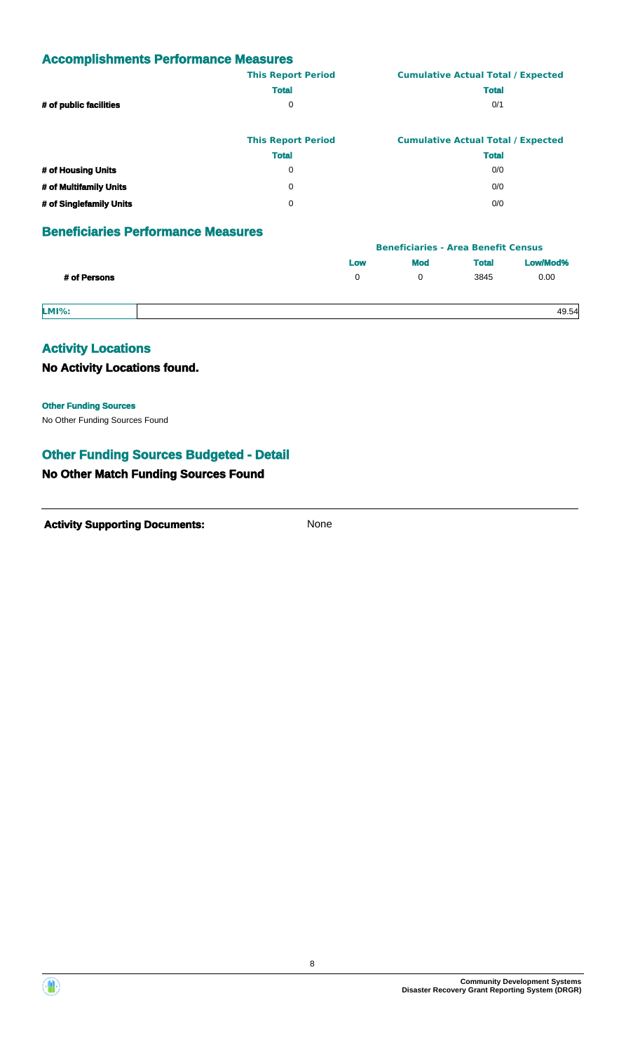|                        | <b>This Report Period</b> | <b>Cumulative Actual Total / Expected</b> |
|------------------------|---------------------------|-------------------------------------------|
|                        | <b>Total</b>              | <b>Total</b>                              |
| # of public facilities | 0                         | 0/1                                       |
|                        |                           |                                           |
|                        |                           |                                           |

|                         | <b>This Report Period</b> | <b>Cumulative Actual Total / Expected</b> |
|-------------------------|---------------------------|-------------------------------------------|
|                         | <b>Total</b>              | <b>Total</b>                              |
| # of Housing Units      | 0                         | 0/0                                       |
| # of Multifamily Units  | 0                         | 0/0                                       |
| # of Singlefamily Units | n                         | 0/0                                       |

## **Beneficiaries Performance Measures**

|              |     | <b>Beneficiaries - Area Benefit Census</b> |              |          |
|--------------|-----|--------------------------------------------|--------------|----------|
|              | Low | <b>Mod</b>                                 | <b>Total</b> | Low/Mod% |
| # of Persons | 0   |                                            | 3845         | 0.00     |
| <b>LMI%:</b> |     |                                            |              | 49.54    |

## **Activity Locations**

**No Activity Locations found.**

**Other Funding Sources**

No Other Funding Sources Found

## **Other Funding Sources Budgeted - Detail**

## **No Other Match Funding Sources Found**



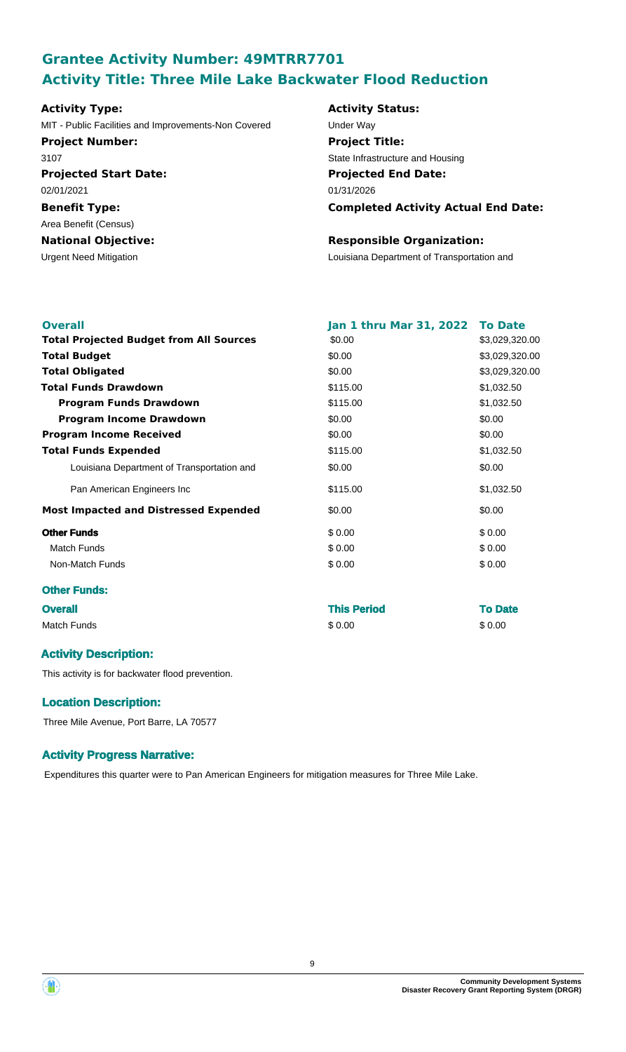# **Grantee Activity Number: 49MTRR7701 Activity Title: Three Mile Lake Backwater Flood Reduction**

## **Projected Start Date: Activity Type:** MIT - Public Facilities and Improvements-Non Covered Under Way **Project Number:** 3107

**Benefit Type:** 02/01/2021

## **National Objective:** Area Benefit (Census)

# **Activity Status: Projected End Date:** 01/31/2026 **Project Title:** State Infrastructure and Housing

## **Completed Activity Actual End Date:**

## **Responsible Organization:**

Urgent Need Mitigation Louisiana Department of Transportation and

| <b>Overall</b>                                 | Jan 1 thru Mar 31, 2022 To Date |                |
|------------------------------------------------|---------------------------------|----------------|
| <b>Total Projected Budget from All Sources</b> | \$0.00                          | \$3,029,320.00 |
| <b>Total Budget</b>                            | \$0.00                          | \$3,029,320.00 |
| <b>Total Obligated</b>                         | \$0.00                          | \$3,029,320.00 |
| <b>Total Funds Drawdown</b>                    | \$115.00                        | \$1,032.50     |
| <b>Program Funds Drawdown</b>                  | \$115.00                        | \$1,032.50     |
| <b>Program Income Drawdown</b>                 | \$0.00                          | \$0.00         |
| <b>Program Income Received</b>                 | \$0.00                          | \$0.00         |
| <b>Total Funds Expended</b>                    | \$115.00                        | \$1,032.50     |
| Louisiana Department of Transportation and     | \$0.00                          | \$0.00         |
| Pan American Engineers Inc                     | \$115.00                        | \$1,032.50     |
| <b>Most Impacted and Distressed Expended</b>   | \$0.00                          | \$0.00         |
| <b>Other Funds</b>                             | \$0.00                          | \$0.00         |
| <b>Match Funds</b>                             | \$0.00                          | \$0.00         |
| Non-Match Funds                                | \$0.00                          | \$0.00         |
| <b>Other Funds:</b>                            |                                 |                |
| <b>Overall</b>                                 | <b>This Period</b>              | <b>To Date</b> |
| <b>Match Funds</b>                             | \$0.00                          | \$0.00         |

## **Activity Description:**

This activity is for backwater flood prevention.

## **Location Description:**

Three Mile Avenue, Port Barre, LA 70577

## **Activity Progress Narrative:**

Expenditures this quarter were to Pan American Engineers for mitigation measures for Three Mile Lake.

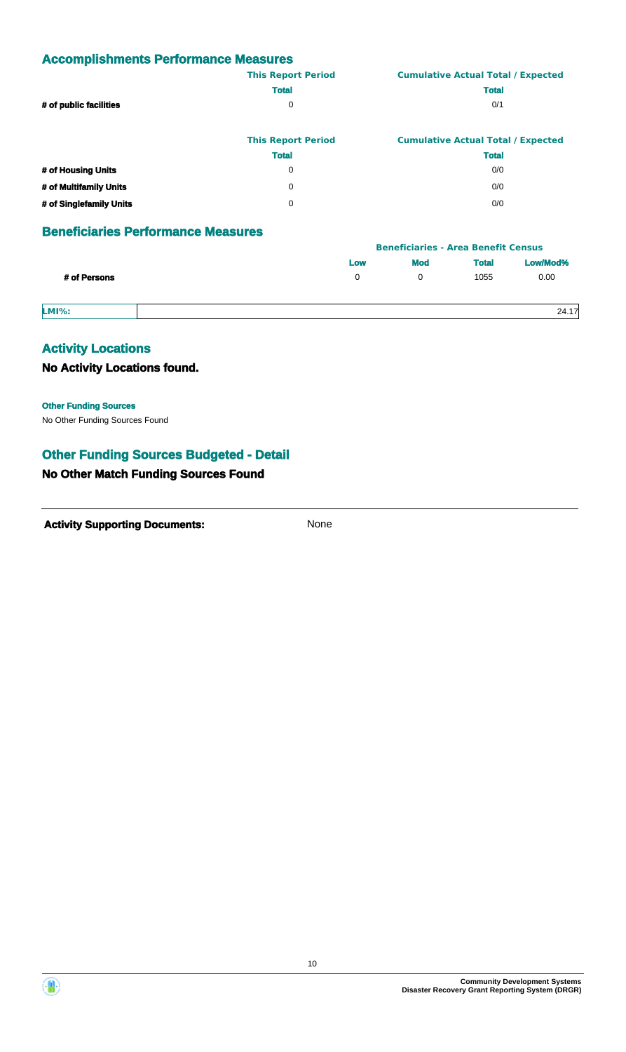|                        | <b>This Report Period</b> | <b>Cumulative Actual Total / Expected</b> |
|------------------------|---------------------------|-------------------------------------------|
|                        | <b>Total</b>              | <b>Total</b>                              |
| # of public facilities | 0                         | 0/1                                       |
|                        |                           |                                           |
|                        |                           |                                           |

|                         | <b>This Report Period</b> | <b>Cumulative Actual Total / Expected</b> |
|-------------------------|---------------------------|-------------------------------------------|
|                         | <b>Total</b>              | <b>Total</b>                              |
| # of Housing Units      | 0                         | 0/0                                       |
| # of Multifamily Units  | 0                         | 0/0                                       |
| # of Singlefamily Units | n                         | 0/0                                       |

## **Beneficiaries Performance Measures**

|              |     | <b>Beneficiaries - Area Benefit Census</b> |              |          |
|--------------|-----|--------------------------------------------|--------------|----------|
|              | Low | <b>Mod</b>                                 | <b>Total</b> | Low/Mod% |
| # of Persons | 0   |                                            | 1055         | 0.00     |
| <b>LMI%:</b> |     |                                            |              | 24.17    |

## **Activity Locations**

**No Activity Locations found.**

**Other Funding Sources**

No Other Funding Sources Found

## **Other Funding Sources Budgeted - Detail**

## **No Other Match Funding Sources Found**



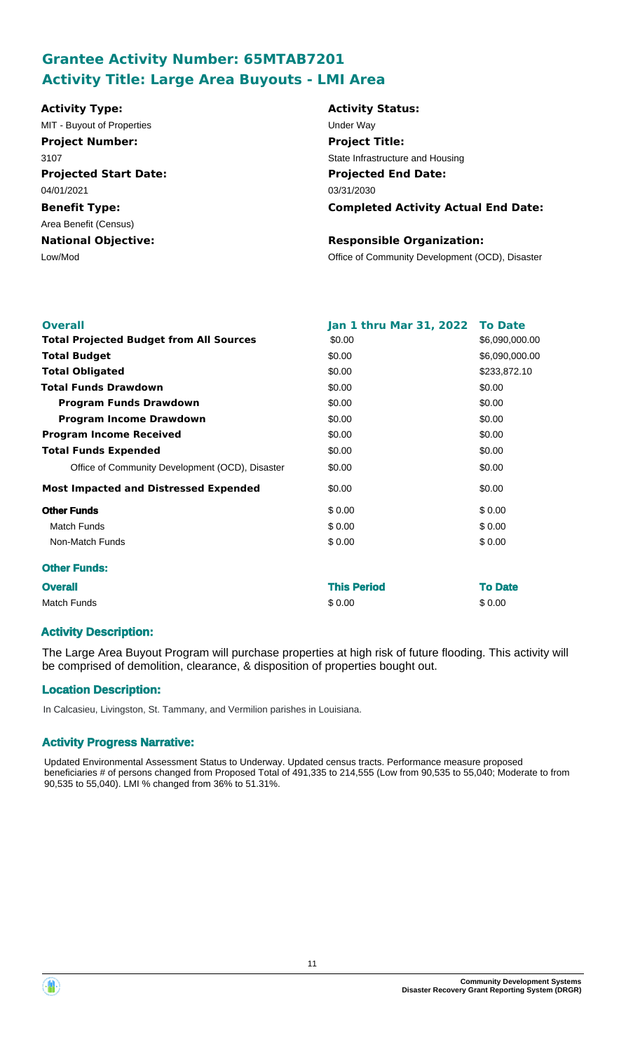# **Grantee Activity Number: 65MTAB7201 Activity Title: Large Area Buyouts - LMI Area**

| <b>Activity Type:</b>        | <b>Activity Status:</b>                         |
|------------------------------|-------------------------------------------------|
| MIT - Buyout of Properties   | Under Way                                       |
| <b>Project Number:</b>       | <b>Project Title:</b>                           |
| 3107                         | State Infrastructure and Housing                |
| <b>Projected Start Date:</b> | <b>Projected End Date:</b>                      |
| 04/01/2021                   | 03/31/2030                                      |
| <b>Benefit Type:</b>         | <b>Completed Activity Actual End Date:</b>      |
| Area Benefit (Census)        |                                                 |
| <b>National Objective:</b>   | <b>Responsible Organization:</b>                |
| Low/Mod                      | Office of Community Development (OCD), Disaster |
|                              |                                                 |
|                              |                                                 |

| <b>Overall</b>                                  | <b>Jan 1 thru Mar 31, 2022</b> | <b>To Date</b> |
|-------------------------------------------------|--------------------------------|----------------|
| <b>Total Projected Budget from All Sources</b>  | \$0.00                         | \$6,090,000.00 |
| <b>Total Budget</b>                             | \$0.00                         | \$6,090,000.00 |
| <b>Total Obligated</b>                          | \$0.00                         | \$233,872.10   |
| <b>Total Funds Drawdown</b>                     | \$0.00                         | \$0.00         |
| <b>Program Funds Drawdown</b>                   | \$0.00                         | \$0.00         |
| <b>Program Income Drawdown</b>                  | \$0.00                         | \$0.00         |
| <b>Program Income Received</b>                  | \$0.00                         | \$0.00         |
| <b>Total Funds Expended</b>                     | \$0.00                         | \$0.00         |
| Office of Community Development (OCD), Disaster | \$0.00                         | \$0.00         |
| <b>Most Impacted and Distressed Expended</b>    | \$0.00                         | \$0.00         |
| <b>Other Funds</b>                              | \$0.00                         | \$0.00         |
| <b>Match Funds</b>                              | \$0.00                         | \$0.00         |
| Non-Match Funds                                 | \$0.00                         | \$0.00         |
| <b>Other Funds:</b>                             |                                |                |
| <b>Overall</b>                                  | <b>This Period</b>             | <b>To Date</b> |
| <b>Match Funds</b>                              | \$0.00                         | \$0.00         |

## **Activity Description:**

The Large Area Buyout Program will purchase properties at high risk of future flooding. This activity will be comprised of demolition, clearance, & disposition of properties bought out.

## **Location Description:**

In Calcasieu, Livingston, St. Tammany, and Vermilion parishes in Louisiana.

### **Activity Progress Narrative:**

Updated Environmental Assessment Status to Underway. Updated census tracts. Performance measure proposed beneficiaries # of persons changed from Proposed Total of 491,335 to 214,555 (Low from 90,535 to 55,040; Moderate to from 90,535 to 55,040). LMI % changed from 36% to 51.31%.

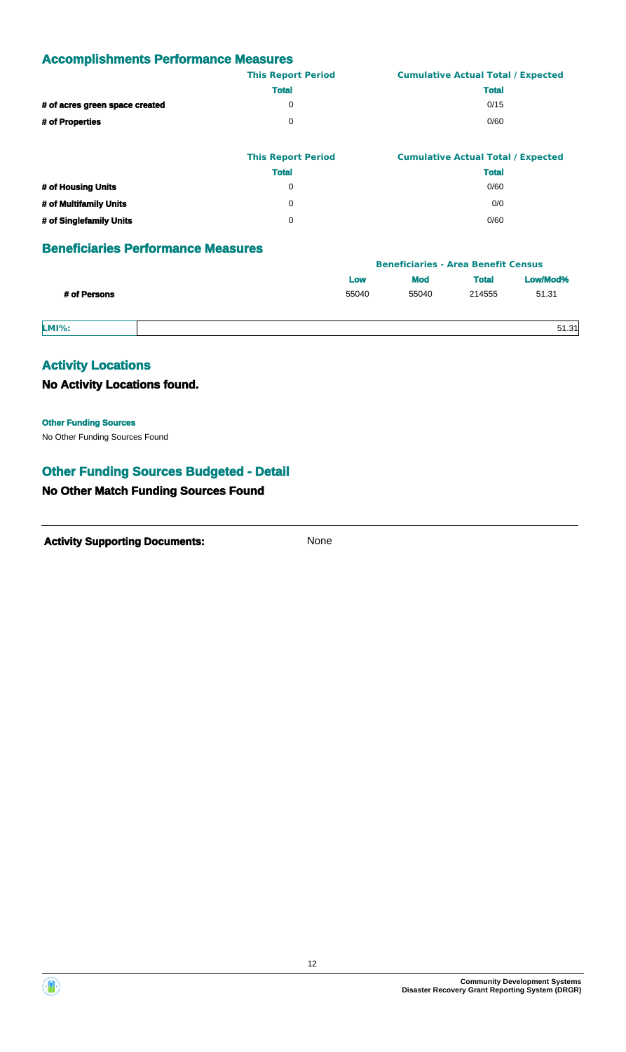|                                | <b>This Report Period</b> | <b>Cumulative Actual Total / Expected</b> |
|--------------------------------|---------------------------|-------------------------------------------|
|                                | <b>Total</b>              | <b>Total</b>                              |
| # of acres green space created | 0                         | 0/15                                      |
| # of Properties                | 0                         | 0/60                                      |
|                                |                           |                                           |

|                         | <b>This Report Period</b> | <b>Cumulative Actual Total / Expected</b> |
|-------------------------|---------------------------|-------------------------------------------|
|                         | <b>Total</b>              | <b>Total</b>                              |
| # of Housing Units      | 0                         | 0/60                                      |
| # of Multifamily Units  | 0                         | 0/0                                       |
| # of Singlefamily Units | 0                         | 0/60                                      |

## **Beneficiaries Performance Measures**

|              | <b>Beneficiaries - Area Benefit Census</b> |                          |              |          |  |
|--------------|--------------------------------------------|--------------------------|--------------|----------|--|
|              | Low                                        | <b>Mod</b>               | <b>Total</b> | Low/Mod% |  |
| # of Persons | 55040                                      | 51.31<br>55040<br>214555 |              |          |  |
| $LMI\%$ :    |                                            |                          |              | 51.31    |  |

## **Activity Locations**

**No Activity Locations found.**

No Other Funding Sources Found **Other Funding Sources**

## **Other Funding Sources Budgeted - Detail**

## **No Other Match Funding Sources Found**



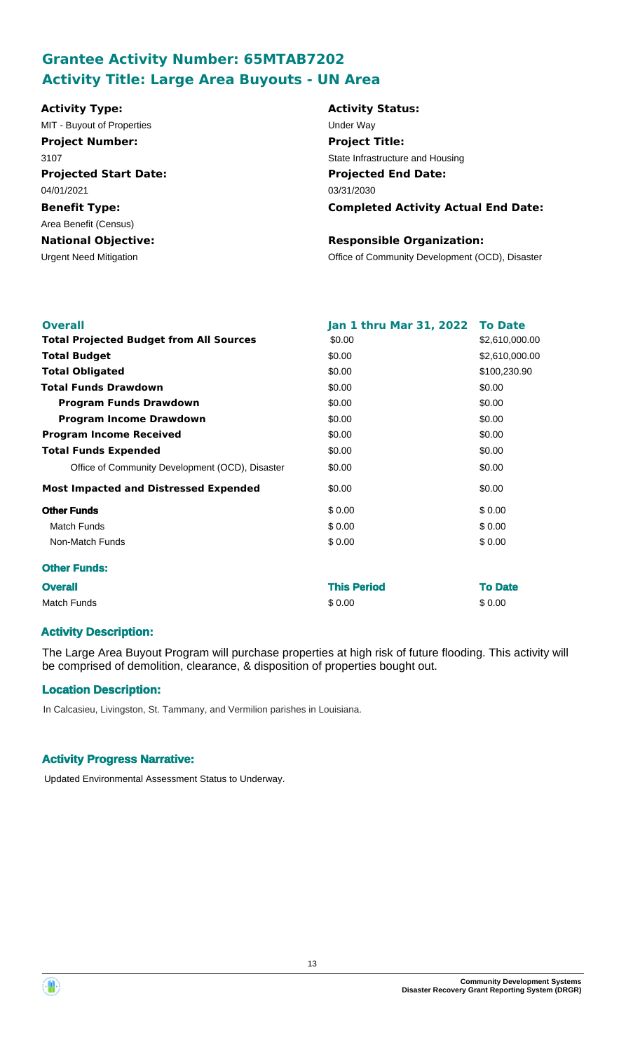# **Grantee Activity Number: 65MTAB7202 Activity Title: Large Area Buyouts - UN Area**

| <b>Activity Type:</b>         | <b>Activity Status:</b>                         |
|-------------------------------|-------------------------------------------------|
| MIT - Buyout of Properties    | Under Way                                       |
| <b>Project Number:</b>        | <b>Project Title:</b>                           |
| 3107                          | State Infrastructure and Housing                |
| <b>Projected Start Date:</b>  | <b>Projected End Date:</b>                      |
| 04/01/2021                    | 03/31/2030                                      |
| <b>Benefit Type:</b>          | <b>Completed Activity Actual End Date:</b>      |
| Area Benefit (Census)         |                                                 |
| <b>National Objective:</b>    | <b>Responsible Organization:</b>                |
| <b>Urgent Need Mitigation</b> | Office of Community Development (OCD), Disaster |
|                               |                                                 |
|                               |                                                 |

| <b>Overall</b>                                  | Jan 1 thru Mar 31, 2022 To Date |                |
|-------------------------------------------------|---------------------------------|----------------|
| <b>Total Projected Budget from All Sources</b>  | \$0.00                          | \$2,610,000.00 |
| <b>Total Budget</b>                             | \$0.00                          | \$2,610,000.00 |
| <b>Total Obligated</b>                          | \$0.00                          | \$100,230.90   |
| <b>Total Funds Drawdown</b>                     | \$0.00                          | \$0.00         |
| <b>Program Funds Drawdown</b>                   | \$0.00                          | \$0.00         |
| <b>Program Income Drawdown</b>                  | \$0.00                          | \$0.00         |
| <b>Program Income Received</b>                  | \$0.00                          | \$0.00         |
| <b>Total Funds Expended</b>                     | \$0.00                          | \$0.00         |
| Office of Community Development (OCD), Disaster | \$0.00                          | \$0.00         |
| <b>Most Impacted and Distressed Expended</b>    | \$0.00                          | \$0.00         |
| <b>Other Funds</b>                              | \$0.00                          | \$0.00         |
| <b>Match Funds</b>                              | \$0.00                          | \$0.00         |
| Non-Match Funds                                 | \$0.00                          | \$0.00         |
| <b>Other Funds:</b>                             |                                 |                |
| <b>Overall</b>                                  | <b>This Period</b>              | <b>To Date</b> |
| <b>Match Funds</b>                              | \$0.00                          | \$0.00         |

## **Activity Description:**

The Large Area Buyout Program will purchase properties at high risk of future flooding. This activity will be comprised of demolition, clearance, & disposition of properties bought out.

## **Location Description:**

In Calcasieu, Livingston, St. Tammany, and Vermilion parishes in Louisiana.

## **Activity Progress Narrative:**

Updated Environmental Assessment Status to Underway.

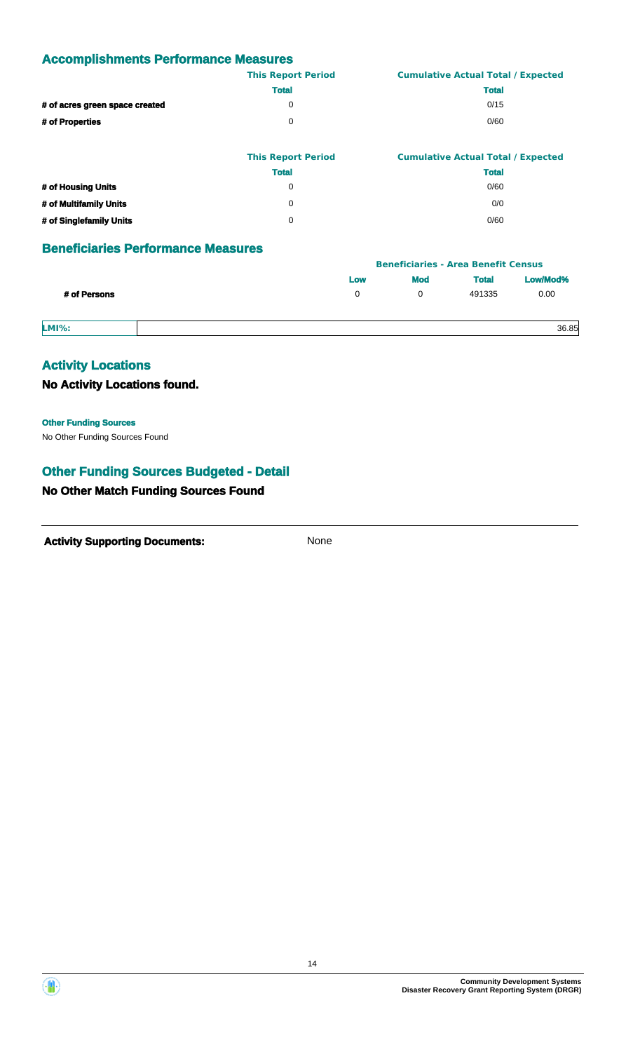|                                | <b>This Report Period</b> | <b>Cumulative Actual Total / Expected</b> |
|--------------------------------|---------------------------|-------------------------------------------|
|                                | <b>Total</b>              | <b>Total</b>                              |
| # of acres green space created | $\Omega$                  | 0/15                                      |
| # of Properties                | $\Omega$                  | 0/60                                      |
|                                |                           |                                           |

|                         | <b>This Report Period</b> | <b>Cumulative Actual Total / Expected</b> |
|-------------------------|---------------------------|-------------------------------------------|
|                         | <b>Total</b>              | <b>Total</b>                              |
| # of Housing Units      | 0                         | 0/60                                      |
| # of Multifamily Units  | 0                         | 0/0                                       |
| # of Singlefamily Units |                           | 0/60                                      |

## **Beneficiaries Performance Measures**

|              |     |     | <b>Beneficiaries - Area Benefit Census</b> |          |
|--------------|-----|-----|--------------------------------------------|----------|
|              | Low | Mod | <b>Total</b>                               | Low/Mod% |
| # of Persons | 0   |     | 491335                                     | 0.00     |
| $LMI\%$ :    |     |     |                                            | 36.85    |

## **Activity Locations**

**No Activity Locations found.**

No Other Funding Sources Found **Other Funding Sources**

## **Other Funding Sources Budgeted - Detail**

## **No Other Match Funding Sources Found**



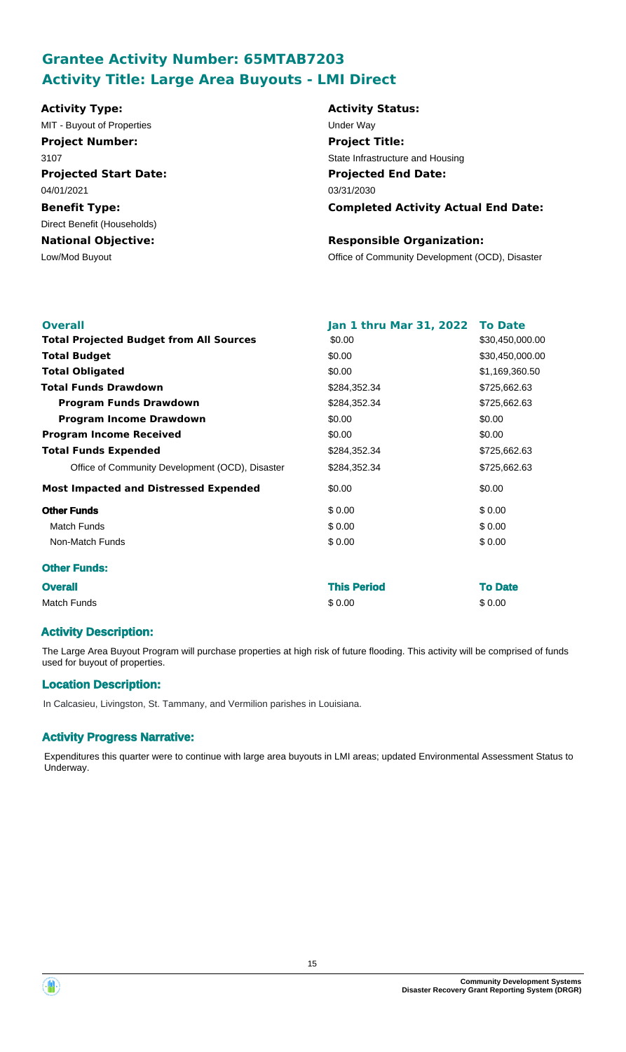# **Grantee Activity Number: 65MTAB7203 Activity Title: Large Area Buyouts - LMI Direct**

| <b>Activity Type:</b>        | <b>Activity Status:</b>                         |
|------------------------------|-------------------------------------------------|
| MIT - Buyout of Properties   | Under Way                                       |
| <b>Project Number:</b>       | <b>Project Title:</b>                           |
| 3107                         | State Infrastructure and Housing                |
| <b>Projected Start Date:</b> | <b>Projected End Date:</b>                      |
| 04/01/2021                   | 03/31/2030                                      |
| <b>Benefit Type:</b>         | <b>Completed Activity Actual End Date:</b>      |
| Direct Benefit (Households)  |                                                 |
| <b>National Objective:</b>   | <b>Responsible Organization:</b>                |
| Low/Mod Buyout               | Office of Community Development (OCD), Disaster |
|                              |                                                 |
|                              |                                                 |

| <b>Overall</b>                                  | Jan 1 thru Mar 31, 2022 To Date |                 |
|-------------------------------------------------|---------------------------------|-----------------|
| <b>Total Projected Budget from All Sources</b>  | \$0.00                          | \$30,450,000.00 |
| <b>Total Budget</b>                             | \$0.00                          | \$30,450,000.00 |
| <b>Total Obligated</b>                          | \$0.00                          | \$1,169,360.50  |
| <b>Total Funds Drawdown</b>                     | \$284,352.34                    | \$725,662.63    |
| <b>Program Funds Drawdown</b>                   | \$284,352.34                    | \$725,662.63    |
| <b>Program Income Drawdown</b>                  | \$0.00                          | \$0.00          |
| <b>Program Income Received</b>                  | \$0.00                          | \$0.00          |
| <b>Total Funds Expended</b>                     | \$284,352.34                    | \$725,662.63    |
| Office of Community Development (OCD), Disaster | \$284,352.34                    | \$725,662.63    |
| <b>Most Impacted and Distressed Expended</b>    | \$0.00                          | \$0.00          |
| <b>Other Funds</b>                              | \$0.00                          | \$0.00          |
| <b>Match Funds</b>                              | \$0.00                          | \$0.00          |
| Non-Match Funds                                 | \$0.00                          | \$0.00          |
| <b>Other Funds:</b>                             |                                 |                 |
| <b>Overall</b>                                  | <b>This Period</b>              | <b>To Date</b>  |
| <b>Match Funds</b>                              | \$0.00                          | \$0.00          |

## **Activity Description:**

The Large Area Buyout Program will purchase properties at high risk of future flooding. This activity will be comprised of funds used for buyout of properties.

## **Location Description:**

In Calcasieu, Livingston, St. Tammany, and Vermilion parishes in Louisiana.

## **Activity Progress Narrative:**

Expenditures this quarter were to continue with large area buyouts in LMI areas; updated Environmental Assessment Status to Underway.

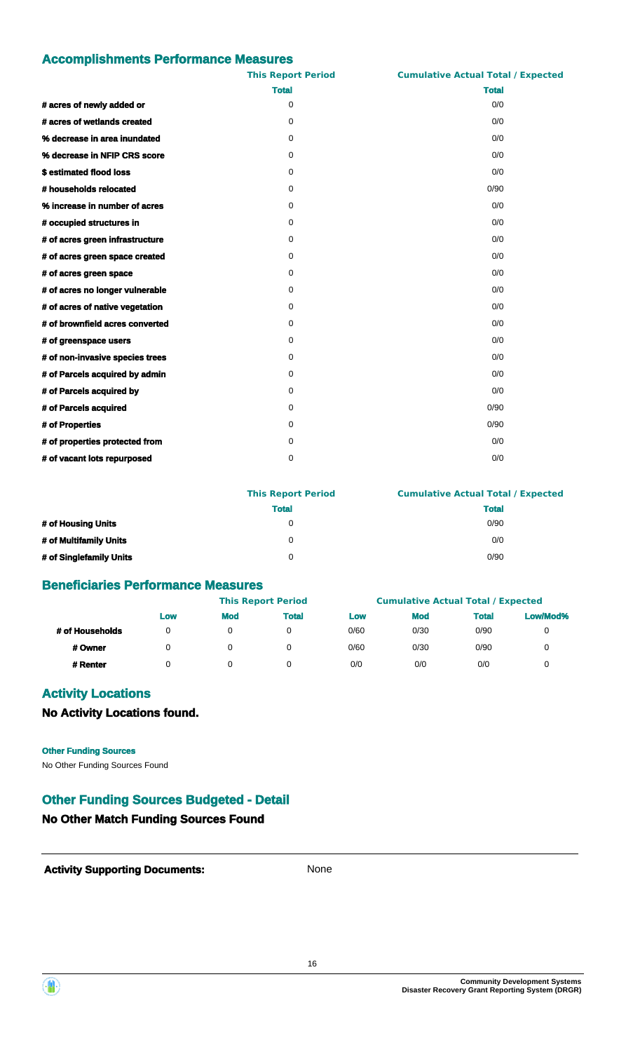|                                 | <b>This Report Period</b> | <b>Cumulative Actual Total / Expected</b> |
|---------------------------------|---------------------------|-------------------------------------------|
|                                 | <b>Total</b>              | <b>Total</b>                              |
| # acres of newly added or       | 0                         | 0/0                                       |
| # acres of wetlands created     | $\Omega$                  | 0/0                                       |
| % decrease in area inundated    | 0                         | 0/0                                       |
| % decrease in NFIP CRS score    | 0                         | 0/0                                       |
| \$estimated flood loss          | $\Omega$                  | 0/0                                       |
| # households relocated          | 0                         | 0/90                                      |
| % increase in number of acres   | 0                         | 0/0                                       |
| # occupied structures in        | 0                         | 0/0                                       |
| # of acres green infrastructure | 0                         | 0/0                                       |
| # of acres green space created  | 0                         | 0/0                                       |
| # of acres green space          | 0                         | 0/0                                       |
| # of acres no longer vulnerable | 0                         | 0/0                                       |
| # of acres of native vegetation | 0                         | 0/0                                       |
| # of brownfield acres converted | 0                         | 0/0                                       |
| # of greenspace users           | 0                         | 0/0                                       |
| # of non-invasive species trees | 0                         | 0/0                                       |
| # of Parcels acquired by admin  | 0                         | 0/0                                       |
| # of Parcels acquired by        | $\Omega$                  | 0/0                                       |
| # of Parcels acquired           | 0                         | 0/90                                      |
| # of Properties                 | 0                         | 0/90                                      |
| # of properties protected from  | 0                         | 0/0                                       |
| # of vacant lots repurposed     | 0                         | 0/0                                       |

|                         | <b>This Report Period</b> | <b>Cumulative Actual Total / Expected</b> |  |  |
|-------------------------|---------------------------|-------------------------------------------|--|--|
|                         | <b>Total</b>              | <b>Total</b>                              |  |  |
| # of Housing Units      | 0                         | 0/90                                      |  |  |
| # of Multifamily Units  | 0                         | 0/0                                       |  |  |
| # of Singlefamily Units | 0                         | 0/90                                      |  |  |

## **Beneficiaries Performance Measures**

|                 |     |            | <b>This Report Period</b> |      | <b>Cumulative Actual Total / Expected</b> |              |          |
|-----------------|-----|------------|---------------------------|------|-------------------------------------------|--------------|----------|
|                 | Low | <b>Mod</b> | <b>Total</b>              | Low  | <b>Mod</b>                                | <b>Total</b> | Low/Mod% |
| # of Households | 0   | 0          |                           | 0/60 | 0/30                                      | 0/90         |          |
| # Owner         | 0   |            |                           | 0/60 | 0/30                                      | 0/90         |          |
| # Renter        |     |            |                           | 0/0  | 0/0                                       | 0/0          |          |

## **Activity Locations**

**No Activity Locations found.**

#### **Other Funding Sources**

No Other Funding Sources Found

## **Other Funding Sources Budgeted - Detail**

## **No Other Match Funding Sources Found**



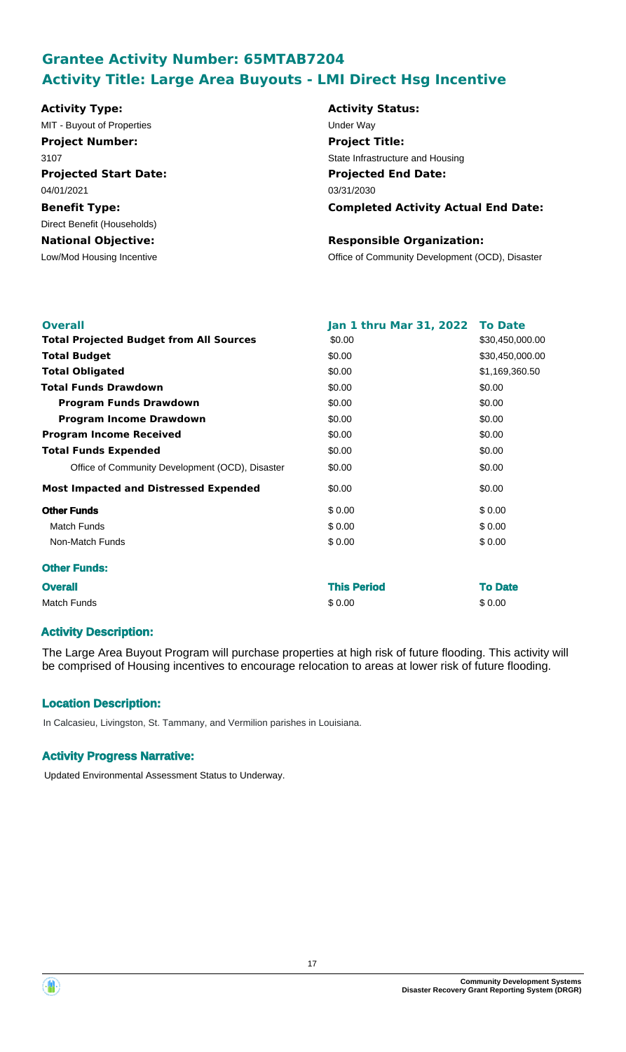# **Grantee Activity Number: 65MTAB7204 Activity Title: Large Area Buyouts - LMI Direct Hsg Incentive**

| <b>Activity Type:</b>        | <b>Activity Status:</b>                         |
|------------------------------|-------------------------------------------------|
| MIT - Buyout of Properties   | Under Way                                       |
| <b>Project Number:</b>       | <b>Project Title:</b>                           |
| 3107                         | State Infrastructure and Housing                |
| <b>Projected Start Date:</b> | <b>Projected End Date:</b>                      |
| 04/01/2021                   | 03/31/2030                                      |
| <b>Benefit Type:</b>         | <b>Completed Activity Actual End Date:</b>      |
| Direct Benefit (Households)  |                                                 |
| <b>National Objective:</b>   | <b>Responsible Organization:</b>                |
| Low/Mod Housing Incentive    | Office of Community Development (OCD), Disaster |
|                              |                                                 |
|                              |                                                 |

| <b>Overall</b>                                  | Jan 1 thru Mar 31, 2022 | <b>To Date</b>  |
|-------------------------------------------------|-------------------------|-----------------|
| <b>Total Projected Budget from All Sources</b>  | \$0.00                  | \$30,450,000.00 |
| <b>Total Budget</b>                             | \$0.00                  | \$30,450,000.00 |
| <b>Total Obligated</b>                          | \$0.00                  | \$1,169,360.50  |
| <b>Total Funds Drawdown</b>                     | \$0.00                  | \$0.00          |
| <b>Program Funds Drawdown</b>                   | \$0.00                  | \$0.00          |
| <b>Program Income Drawdown</b>                  | \$0.00                  | \$0.00          |
| <b>Program Income Received</b>                  | \$0.00                  | \$0.00          |
| <b>Total Funds Expended</b>                     | \$0.00                  | \$0.00          |
| Office of Community Development (OCD), Disaster | \$0.00                  | \$0.00          |
| <b>Most Impacted and Distressed Expended</b>    | \$0.00                  | \$0.00          |
| <b>Other Funds</b>                              | \$0.00                  | \$0.00          |
| <b>Match Funds</b>                              | \$0.00                  | \$0.00          |
| Non-Match Funds                                 | \$0.00                  | \$0.00          |
| <b>Other Funds:</b>                             |                         |                 |
| <b>Overall</b>                                  | <b>This Period</b>      | <b>To Date</b>  |
| <b>Match Funds</b>                              | \$0.00                  | \$0.00          |

## **Activity Description:**

The Large Area Buyout Program will purchase properties at high risk of future flooding. This activity will be comprised of Housing incentives to encourage relocation to areas at lower risk of future flooding.

## **Location Description:**

In Calcasieu, Livingston, St. Tammany, and Vermilion parishes in Louisiana.

## **Activity Progress Narrative:**

Updated Environmental Assessment Status to Underway.

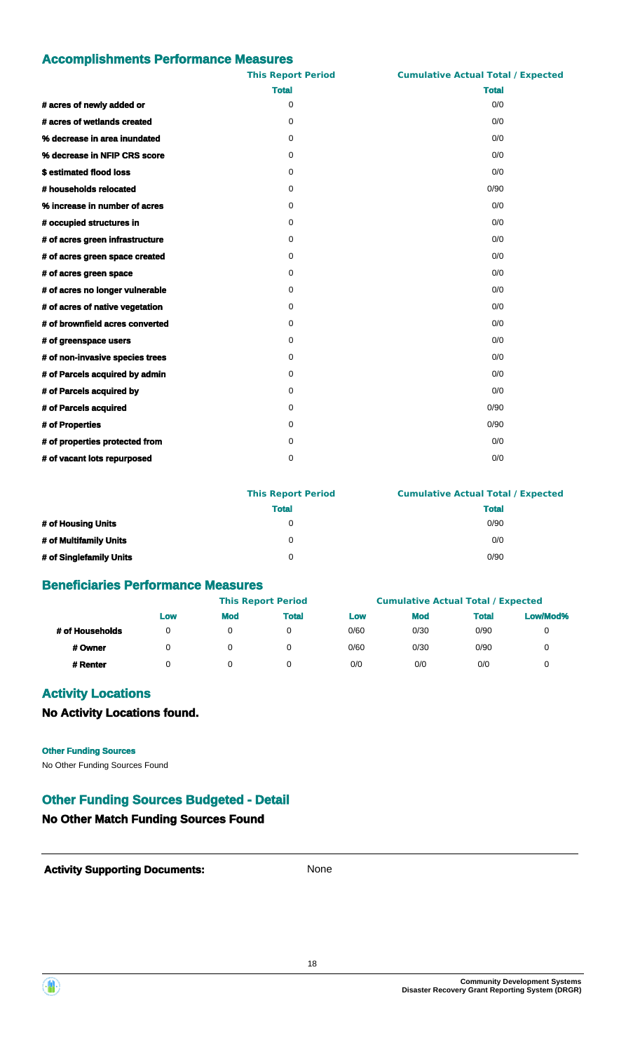|                                 | <b>This Report Period</b> | <b>Cumulative Actual Total / Expected</b> |
|---------------------------------|---------------------------|-------------------------------------------|
|                                 | <b>Total</b>              | <b>Total</b>                              |
| # acres of newly added or       | 0                         | 0/0                                       |
| # acres of wetlands created     | $\Omega$                  | 0/0                                       |
| % decrease in area inundated    | 0                         | 0/0                                       |
| % decrease in NFIP CRS score    | 0                         | 0/0                                       |
| \$estimated flood loss          | $\Omega$                  | 0/0                                       |
| # households relocated          | 0                         | 0/90                                      |
| % increase in number of acres   | 0                         | 0/0                                       |
| # occupied structures in        | 0                         | 0/0                                       |
| # of acres green infrastructure | 0                         | 0/0                                       |
| # of acres green space created  | 0                         | 0/0                                       |
| # of acres green space          | 0                         | 0/0                                       |
| # of acres no longer vulnerable | 0                         | 0/0                                       |
| # of acres of native vegetation | 0                         | 0/0                                       |
| # of brownfield acres converted | 0                         | 0/0                                       |
| # of greenspace users           | 0                         | 0/0                                       |
| # of non-invasive species trees | 0                         | 0/0                                       |
| # of Parcels acquired by admin  | 0                         | 0/0                                       |
| # of Parcels acquired by        | $\Omega$                  | 0/0                                       |
| # of Parcels acquired           | 0                         | 0/90                                      |
| # of Properties                 | 0                         | 0/90                                      |
| # of properties protected from  | 0                         | 0/0                                       |
| # of vacant lots repurposed     | 0                         | 0/0                                       |

|                         | <b>This Report Period</b> | <b>Cumulative Actual Total / Expected</b> |  |  |
|-------------------------|---------------------------|-------------------------------------------|--|--|
|                         | <b>Total</b>              | <b>Total</b>                              |  |  |
| # of Housing Units      | 0                         | 0/90                                      |  |  |
| # of Multifamily Units  | 0                         | 0/0                                       |  |  |
| # of Singlefamily Units | 0                         | 0/90                                      |  |  |

## **Beneficiaries Performance Measures**

|                 |     |            | <b>This Report Period</b> |      | <b>Cumulative Actual Total / Expected</b> |              |          |
|-----------------|-----|------------|---------------------------|------|-------------------------------------------|--------------|----------|
|                 | Low | <b>Mod</b> | <b>Total</b>              | Low  | <b>Mod</b>                                | <b>Total</b> | Low/Mod% |
| # of Households | 0   | 0          |                           | 0/60 | 0/30                                      | 0/90         |          |
| # Owner         | 0   |            |                           | 0/60 | 0/30                                      | 0/90         |          |
| # Renter        |     |            |                           | 0/0  | 0/0                                       | 0/0          |          |

## **Activity Locations**

**No Activity Locations found.**

#### **Other Funding Sources**

No Other Funding Sources Found

## **Other Funding Sources Budgeted - Detail**

## **No Other Match Funding Sources Found**



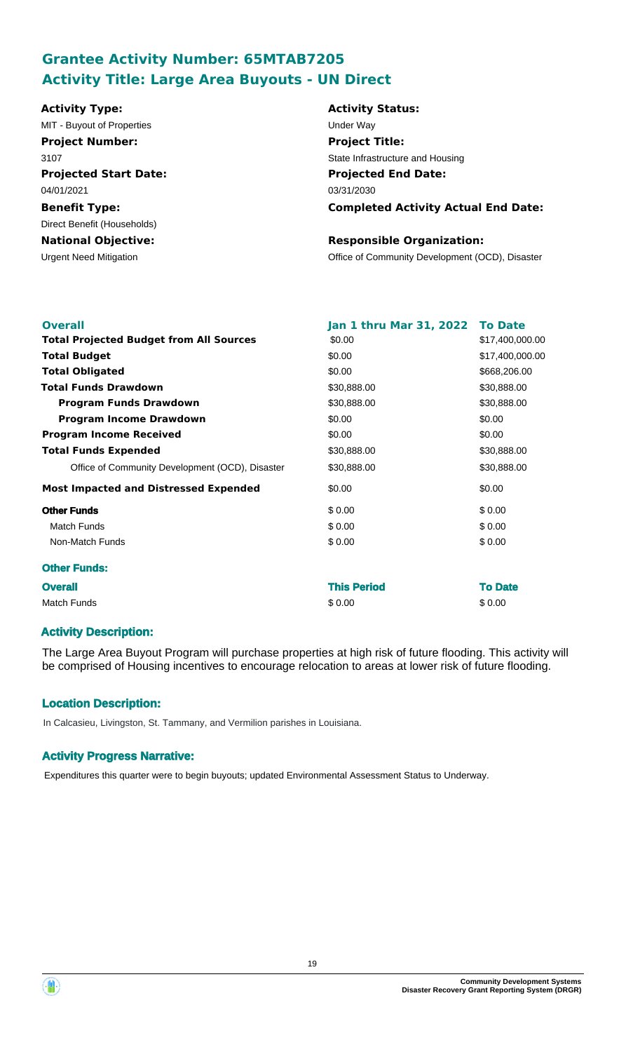# **Grantee Activity Number: 65MTAB7205 Activity Title: Large Area Buyouts - UN Direct**

| <b>Activity Type:</b>         | <b>Activity Status:</b>                         |
|-------------------------------|-------------------------------------------------|
| MIT - Buyout of Properties    | Under Way                                       |
| <b>Project Number:</b>        | <b>Project Title:</b>                           |
| 3107                          | State Infrastructure and Housing                |
| <b>Projected Start Date:</b>  | <b>Projected End Date:</b>                      |
| 04/01/2021                    | 03/31/2030                                      |
| <b>Benefit Type:</b>          | <b>Completed Activity Actual End Date:</b>      |
| Direct Benefit (Households)   |                                                 |
| <b>National Objective:</b>    | <b>Responsible Organization:</b>                |
| <b>Urgent Need Mitigation</b> | Office of Community Development (OCD), Disaster |

| <b>Overall</b>                                  | Jan 1 thru Mar 31, 2022 | <b>To Date</b>  |
|-------------------------------------------------|-------------------------|-----------------|
| <b>Total Projected Budget from All Sources</b>  | \$0.00                  | \$17,400,000.00 |
| <b>Total Budget</b>                             | \$0.00                  | \$17,400,000.00 |
| <b>Total Obligated</b>                          | \$0.00                  | \$668,206.00    |
| <b>Total Funds Drawdown</b>                     | \$30,888.00             | \$30,888.00     |
| <b>Program Funds Drawdown</b>                   | \$30,888.00             | \$30,888.00     |
| <b>Program Income Drawdown</b>                  | \$0.00                  | \$0.00          |
| <b>Program Income Received</b>                  | \$0.00                  | \$0.00          |
| <b>Total Funds Expended</b>                     | \$30,888.00             | \$30,888.00     |
| Office of Community Development (OCD), Disaster | \$30,888.00             | \$30,888.00     |
| <b>Most Impacted and Distressed Expended</b>    | \$0.00                  | \$0.00          |
| <b>Other Funds</b>                              | \$0.00                  | \$0.00          |
| Match Funds                                     | \$0.00                  | \$0.00          |
| Non-Match Funds                                 | \$0.00                  | \$0.00          |
| <b>Other Funds:</b>                             |                         |                 |
| <b>Overall</b>                                  | <b>This Period</b>      | <b>To Date</b>  |
| <b>Match Funds</b>                              | \$0.00                  | \$0.00          |

## **Activity Description:**

The Large Area Buyout Program will purchase properties at high risk of future flooding. This activity will be comprised of Housing incentives to encourage relocation to areas at lower risk of future flooding.

## **Location Description:**

In Calcasieu, Livingston, St. Tammany, and Vermilion parishes in Louisiana.

## **Activity Progress Narrative:**

Expenditures this quarter were to begin buyouts; updated Environmental Assessment Status to Underway.



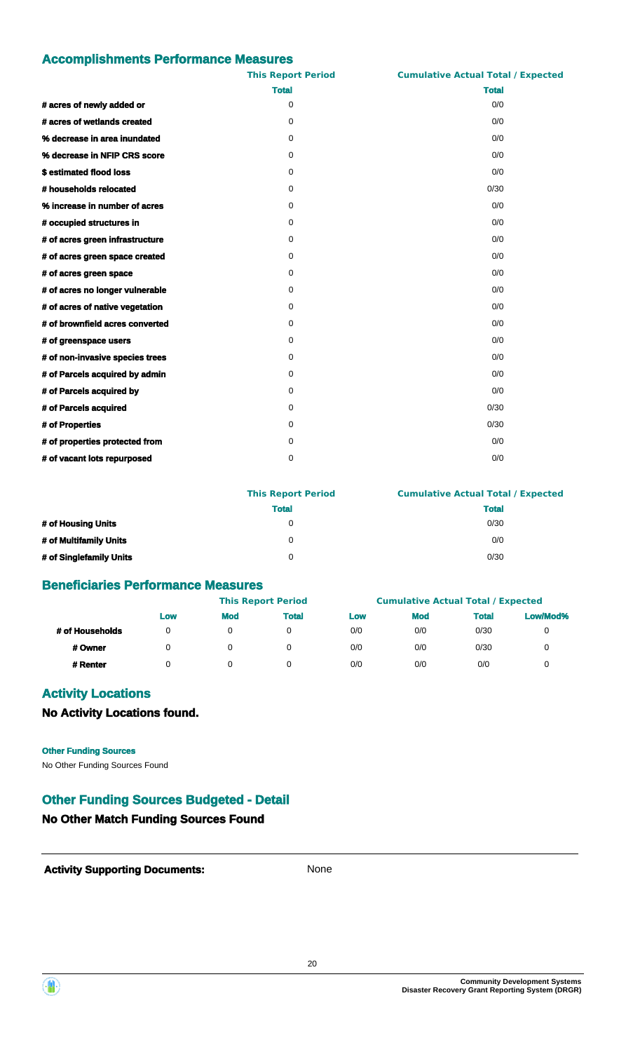|                                 | <b>This Report Period</b> | <b>Cumulative Actual Total / Expected</b> |
|---------------------------------|---------------------------|-------------------------------------------|
|                                 | <b>Total</b>              | <b>Total</b>                              |
| # acres of newly added or       | 0                         | 0/0                                       |
| # acres of wetlands created     | $\Omega$                  | 0/0                                       |
| % decrease in area inundated    | 0                         | 0/0                                       |
| % decrease in NFIP CRS score    | 0                         | 0/0                                       |
| \$estimated flood loss          | $\Omega$                  | 0/0                                       |
| # households relocated          | 0                         | 0/30                                      |
| % increase in number of acres   | 0                         | 0/0                                       |
| # occupied structures in        | 0                         | 0/0                                       |
| # of acres green infrastructure | 0                         | 0/0                                       |
| # of acres green space created  | 0                         | 0/0                                       |
| # of acres green space          | 0                         | 0/0                                       |
| # of acres no longer vulnerable | 0                         | 0/0                                       |
| # of acres of native vegetation | 0                         | 0/0                                       |
| # of brownfield acres converted | 0                         | 0/0                                       |
| # of greenspace users           | 0                         | 0/0                                       |
| # of non-invasive species trees | 0                         | 0/0                                       |
| # of Parcels acquired by admin  | 0                         | 0/0                                       |
| # of Parcels acquired by        | $\Omega$                  | 0/0                                       |
| # of Parcels acquired           | 0                         | 0/30                                      |
| # of Properties                 | 0                         | 0/30                                      |
| # of properties protected from  | 0                         | 0/0                                       |
| # of vacant lots repurposed     | 0                         | 0/0                                       |

|                         | <b>This Report Period</b> | <b>Cumulative Actual Total / Expected</b> |
|-------------------------|---------------------------|-------------------------------------------|
|                         | <b>Total</b>              | <b>Total</b>                              |
| # of Housing Units      | 0                         | 0/30                                      |
| # of Multifamily Units  | 0                         | 0/0                                       |
| # of Singlefamily Units | 0                         | 0/30                                      |

## **Beneficiaries Performance Measures**

|                 |     |            | <b>This Report Period</b> |     | <b>Cumulative Actual Total / Expected</b> |              |          |
|-----------------|-----|------------|---------------------------|-----|-------------------------------------------|--------------|----------|
|                 | Low | <b>Mod</b> | <b>Total</b>              | Low | <b>Mod</b>                                | <b>Total</b> | Low/Mod% |
| # of Households | 0   |            |                           | 0/0 | 0/0                                       | 0/30         |          |
| # Owner         | 0   |            |                           | 0/0 | 0/0                                       | 0/30         |          |
| # Renter        |     |            |                           | 0/0 | 0/0                                       | 0/0          |          |

## **Activity Locations**

**No Activity Locations found.**

#### **Other Funding Sources**

No Other Funding Sources Found

## **Other Funding Sources Budgeted - Detail**

## **No Other Match Funding Sources Found**



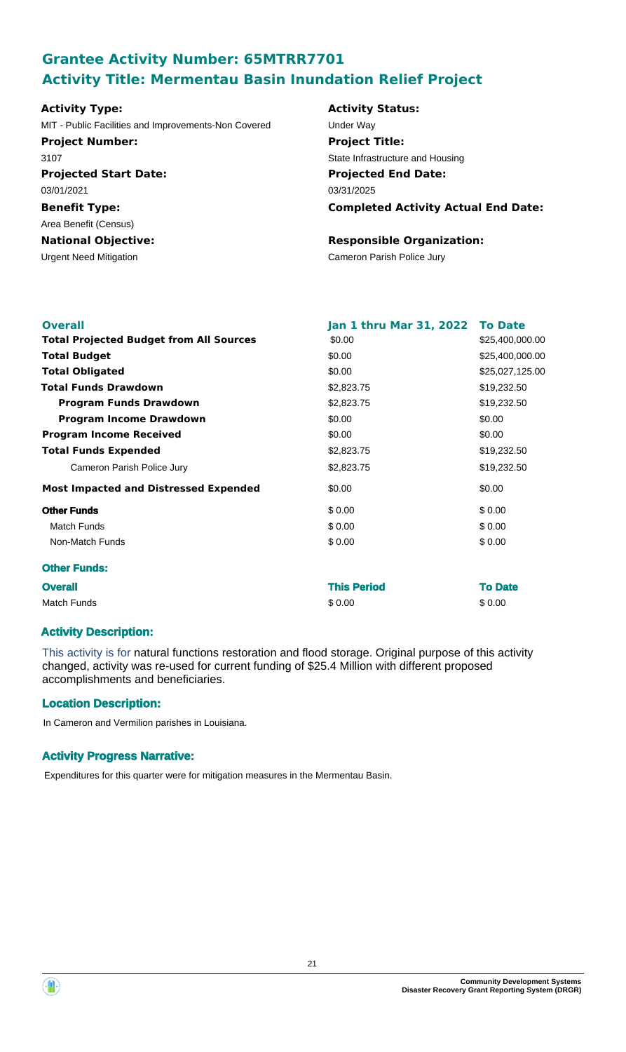# **Grantee Activity Number: 65MTRR7701 Activity Title: Mermentau Basin Inundation Relief Project**

| <b>Activity Type:</b>                                | <b>Activity Status:</b>      |
|------------------------------------------------------|------------------------------|
| MIT - Public Facilities and Improvements-Non Covered | Under Way                    |
| <b>Project Number:</b>                               | <b>Project Title:</b>        |
| 3107                                                 | State Infrastructure and Hou |
| <b>Projected Start Date:</b>                         | <b>Projected End Date:</b>   |
| 03/01/2021                                           | 03/31/2025                   |
| <b>Benefit Type:</b>                                 | <b>Completed Activity</b>    |
| Area Benefit (Census)                                |                              |
| <b>National Objective:</b>                           | <b>Responsible Organiz</b>   |
| <b>Urgent Need Mitigation</b>                        | Cameron Parish Police Jury   |

## **Activity Status: Projected End Date: Completed Activity Actual End Date:** 03/31/2025 red **Under Way Project Title:** State Infrastructure and Housing

# **Responsible Organization:**

| <b>Overall</b>                                 | Jan 1 thru Mar 31, 2022 To Date |                 |
|------------------------------------------------|---------------------------------|-----------------|
| <b>Total Projected Budget from All Sources</b> | \$0.00                          | \$25,400,000.00 |
| <b>Total Budget</b>                            | \$0.00                          | \$25,400,000.00 |
| <b>Total Obligated</b>                         | \$0.00                          | \$25,027,125.00 |
| <b>Total Funds Drawdown</b>                    | \$2,823.75                      | \$19,232.50     |
| <b>Program Funds Drawdown</b>                  | \$2,823.75                      | \$19,232.50     |
| <b>Program Income Drawdown</b>                 | \$0.00                          | \$0.00          |
| <b>Program Income Received</b>                 | \$0.00                          | \$0.00          |
| <b>Total Funds Expended</b>                    | \$2,823.75                      | \$19,232.50     |
| Cameron Parish Police Jury                     | \$2,823.75                      | \$19,232.50     |
| <b>Most Impacted and Distressed Expended</b>   | \$0.00                          | \$0.00          |
| <b>Other Funds</b>                             | \$0.00                          | \$0.00          |
| <b>Match Funds</b>                             | \$0.00                          | \$0.00          |
| Non-Match Funds                                | \$0.00                          | \$0.00          |
| <b>Other Funds:</b>                            |                                 |                 |
| <b>Overall</b>                                 | <b>This Period</b>              | <b>To Date</b>  |
| <b>Match Funds</b>                             | \$0.00                          | \$0.00          |

## **Activity Description:**

This activity is for natural functions restoration and flood storage. Original purpose of this activity changed, activity was re-used for current funding of \$25.4 Million with different proposed accomplishments and beneficiaries.

## **Location Description:**

In Cameron and Vermilion parishes in Louisiana.

## **Activity Progress Narrative:**

Expenditures for this quarter were for mitigation measures in the Mermentau Basin.

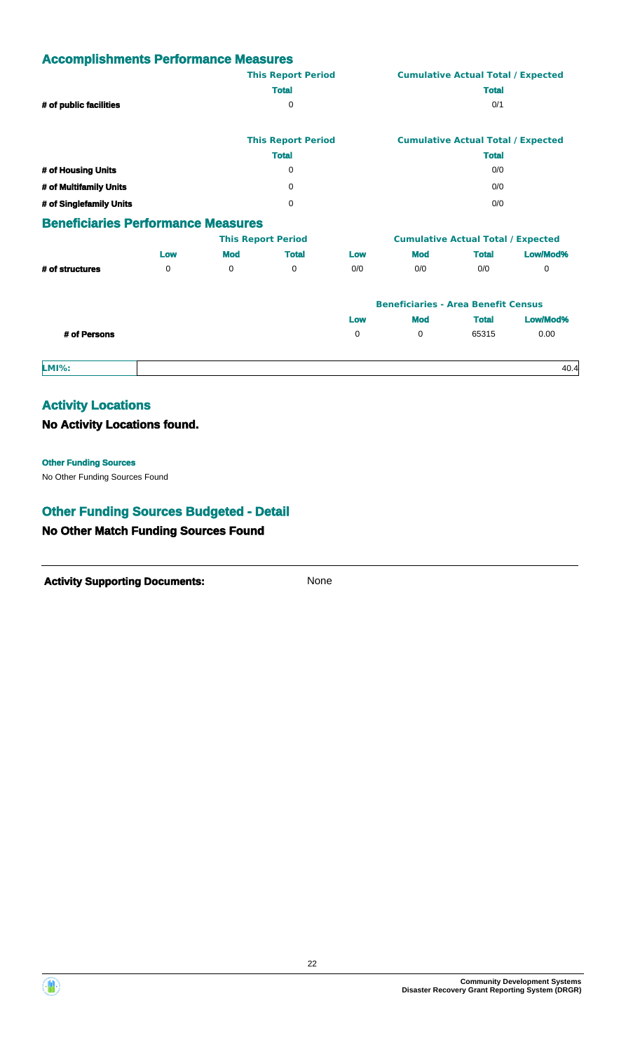|                                           |     |            | <b>This Report Period</b> |     |                                           | <b>Cumulative Actual Total / Expected</b> |                                           |  |  |
|-------------------------------------------|-----|------------|---------------------------|-----|-------------------------------------------|-------------------------------------------|-------------------------------------------|--|--|
|                                           |     |            | <b>Total</b>              |     |                                           | <b>Total</b>                              |                                           |  |  |
| # of public facilities                    |     |            | 0                         |     |                                           | 0/1                                       |                                           |  |  |
|                                           |     |            | <b>This Report Period</b> |     |                                           |                                           | <b>Cumulative Actual Total / Expected</b> |  |  |
|                                           |     |            | <b>Total</b>              |     |                                           | <b>Total</b>                              |                                           |  |  |
| # of Housing Units                        |     |            | 0                         |     |                                           | 0/0                                       |                                           |  |  |
| # of Multifamily Units                    |     |            | 0                         |     | 0/0                                       |                                           |                                           |  |  |
| # of Singlefamily Units                   |     |            | 0                         |     |                                           | 0/0                                       |                                           |  |  |
| <b>Beneficiaries Performance Measures</b> |     |            |                           |     |                                           |                                           |                                           |  |  |
|                                           |     |            | <b>This Report Period</b> |     | <b>Cumulative Actual Total / Expected</b> |                                           |                                           |  |  |
|                                           | Low | <b>Mod</b> | <b>Total</b>              | Low | <b>Mod</b>                                | <b>Total</b>                              | Low/Mod%                                  |  |  |
| # of structures                           | 0   | 0          | 0                         | 0/0 | 0/0                                       | 0/0                                       | 0                                         |  |  |

|              |          | <b>Beneficiaries - Area Benefit Census</b> |              |          |
|--------------|----------|--------------------------------------------|--------------|----------|
|              | Low      | <b>Mod</b>                                 | <b>Total</b> | Low/Mod% |
| # of Persons | $\Omega$ | $\Omega$                                   | 65315        | 0.00     |

**LMI%:** 40.4

## **Activity Locations**

## **No Activity Locations found.**

#### **Other Funding Sources**

No Other Funding Sources Found

# **Other Funding Sources Budgeted - Detail**

## **No Other Match Funding Sources Found**



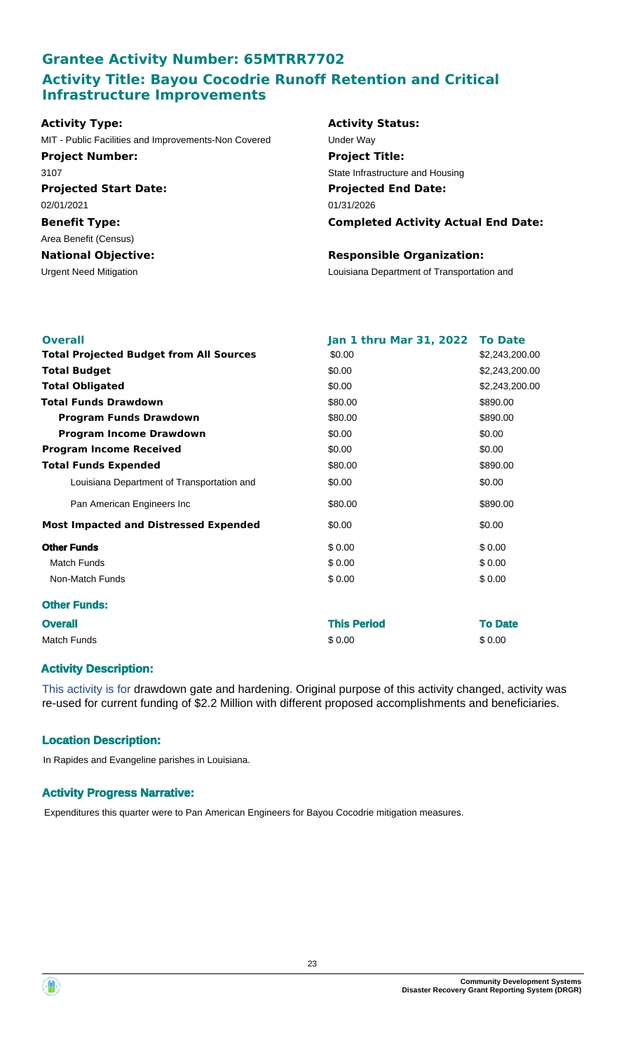## **Grantee Activity Number: 65MTRR7702 Activity Title: Bayou Cocodrie Runoff Retention and Critical Infrastructure Improvements**

## **Activity Type:** MIT - Public Facilities and Improvements-Non Covered Under Way

**Projected Start Date: Benefit Type:** Urgent Need Mitigation Louisiana Department of Transportation and **National Objective:** 02/01/2021 Area Benefit (Census) **Project Number:** 3107

## **Activity Status: Projected End Date: Completed Activity Actual End Date:** 01/31/2026 **Project Title:** State Infrastructure and Housing

### **Responsible Organization:**

| <b>Overall</b>                                 | Jan 1 thru Mar 31, 2022 To Date |                |
|------------------------------------------------|---------------------------------|----------------|
| <b>Total Projected Budget from All Sources</b> | \$0.00                          | \$2,243,200.00 |
| <b>Total Budget</b>                            | \$0.00                          | \$2,243,200.00 |
| <b>Total Obligated</b>                         | \$0.00                          | \$2,243,200.00 |
| <b>Total Funds Drawdown</b>                    | \$80.00                         | \$890.00       |
| <b>Program Funds Drawdown</b>                  | \$80.00                         | \$890.00       |
| <b>Program Income Drawdown</b>                 | \$0.00                          | \$0.00         |
| <b>Program Income Received</b>                 | \$0.00                          | \$0.00         |
| <b>Total Funds Expended</b>                    | \$80.00                         | \$890.00       |
| Louisiana Department of Transportation and     | \$0.00                          | \$0.00         |
| Pan American Engineers Inc                     | \$80.00                         | \$890.00       |
| <b>Most Impacted and Distressed Expended</b>   | \$0.00                          | \$0.00         |
| <b>Other Funds</b>                             | \$0.00                          | \$0.00         |
| Match Funds                                    | \$0.00                          | \$0.00         |
| Non-Match Funds                                | \$0.00                          | \$0.00         |
| <b>Other Funds:</b>                            |                                 |                |
| <b>Overall</b>                                 | <b>This Period</b>              | <b>To Date</b> |
| <b>Match Funds</b>                             | \$0.00                          | \$0.00         |

## **Activity Description:**

This activity is for drawdown gate and hardening. Original purpose of this activity changed, activity was re-used for current funding of \$2.2 Million with different proposed accomplishments and beneficiaries.

## **Location Description:**

In Rapides and Evangeline parishes in Louisiana.

## **Activity Progress Narrative:**

Expenditures this quarter were to Pan American Engineers for Bayou Cocodrie mitigation measures.

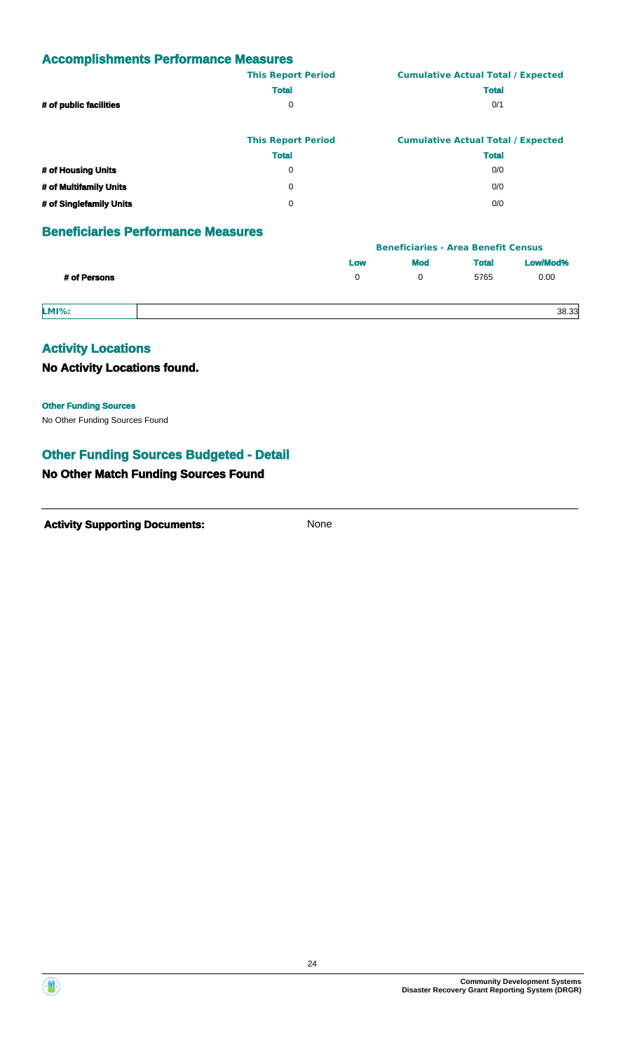|                        | <b>This Report Period</b> | <b>Cumulative Actual Total / Expected</b> |
|------------------------|---------------------------|-------------------------------------------|
|                        | <b>Total</b>              | <b>Total</b>                              |
| # of public facilities | 0                         | 0/1                                       |
|                        |                           |                                           |
|                        |                           |                                           |

|                         | <b>This Report Period</b> | <b>Cumulative Actual Total / Expected</b> |
|-------------------------|---------------------------|-------------------------------------------|
|                         | <b>Total</b>              | <b>Total</b>                              |
| # of Housing Units      | 0                         | 0/0                                       |
| # of Multifamily Units  | 0                         | 0/0                                       |
| # of Singlefamily Units | n                         | 0/0                                       |

## **Beneficiaries Performance Measures**

|              |     | <b>Beneficiaries - Area Benefit Census</b> |              |          |  |
|--------------|-----|--------------------------------------------|--------------|----------|--|
|              | Low | <b>Mod</b>                                 | <b>Total</b> | Low/Mod% |  |
| # of Persons | 0   |                                            | 5765         | 0.00     |  |
| <b>LMI%:</b> |     |                                            |              | 38.33    |  |

## **Activity Locations**

**No Activity Locations found.**

**Other Funding Sources**

No Other Funding Sources Found

## **Other Funding Sources Budgeted - Detail**

## **No Other Match Funding Sources Found**

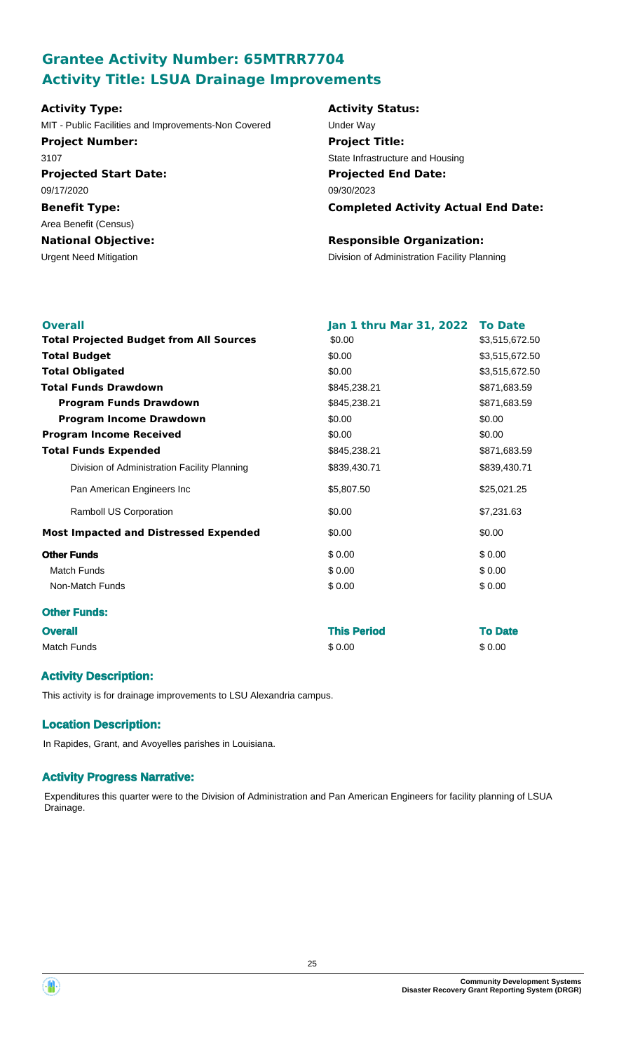# **Grantee Activity Number: 65MTRR7704 Activity Title: LSUA Drainage Improvements**

**Projected Start Date: Benefit Type: National Objective: Activity Type:** 09/17/2020 Area Benefit (Census) MIT - Public Facilities and Improvements-Non Covered Under Way **Project Number:** 3107

#### **Activity Status:**

**Projected End Date: Completed Activity Actual End Date:** 09/30/2023 **Project Title:** State Infrastructure and Housing

### **Responsible Organization:**

Urgent Need Mitigation Division of Administration Facility Planning

| <b>Overall</b> |                                                | Jan 1 thru Mar 31, 2022 | <b>To Date</b> |
|----------------|------------------------------------------------|-------------------------|----------------|
|                | <b>Total Projected Budget from All Sources</b> | \$0.00                  | \$3,515,672.50 |
|                | <b>Total Budget</b>                            | \$0.00                  | \$3,515,672.50 |
|                | <b>Total Obligated</b>                         | \$0.00                  | \$3,515,672.50 |
|                | <b>Total Funds Drawdown</b>                    | \$845,238.21            | \$871,683.59   |
|                | <b>Program Funds Drawdown</b>                  | \$845,238.21            | \$871,683.59   |
|                | <b>Program Income Drawdown</b>                 | \$0.00                  | \$0.00         |
|                | <b>Program Income Received</b>                 | \$0.00                  | \$0.00         |
|                | <b>Total Funds Expended</b>                    | \$845,238.21            | \$871,683.59   |
|                | Division of Administration Facility Planning   | \$839,430.71            | \$839,430.71   |
|                | Pan American Engineers Inc                     | \$5,807.50              | \$25,021.25    |
|                | Ramboll US Corporation                         | \$0.00                  | \$7,231.63     |
|                | <b>Most Impacted and Distressed Expended</b>   | \$0.00                  | \$0.00         |
|                | <b>Other Funds</b>                             | \$0.00                  | \$0.00         |
|                | <b>Match Funds</b>                             | \$0.00                  | \$0.00         |
|                | Non-Match Funds                                | \$0.00                  | \$0.00         |
|                | <b>Other Funds:</b>                            |                         |                |
| <b>Overall</b> |                                                | <b>This Period</b>      | <b>To Date</b> |
|                | <b>Match Funds</b>                             | \$0.00                  | \$0.00         |
|                |                                                |                         |                |

### **Activity Description:**

This activity is for drainage improvements to LSU Alexandria campus.

### **Location Description:**

In Rapides, Grant, and Avoyelles parishes in Louisiana.

### **Activity Progress Narrative:**

Expenditures this quarter were to the Division of Administration and Pan American Engineers for facility planning of LSUA Drainage.

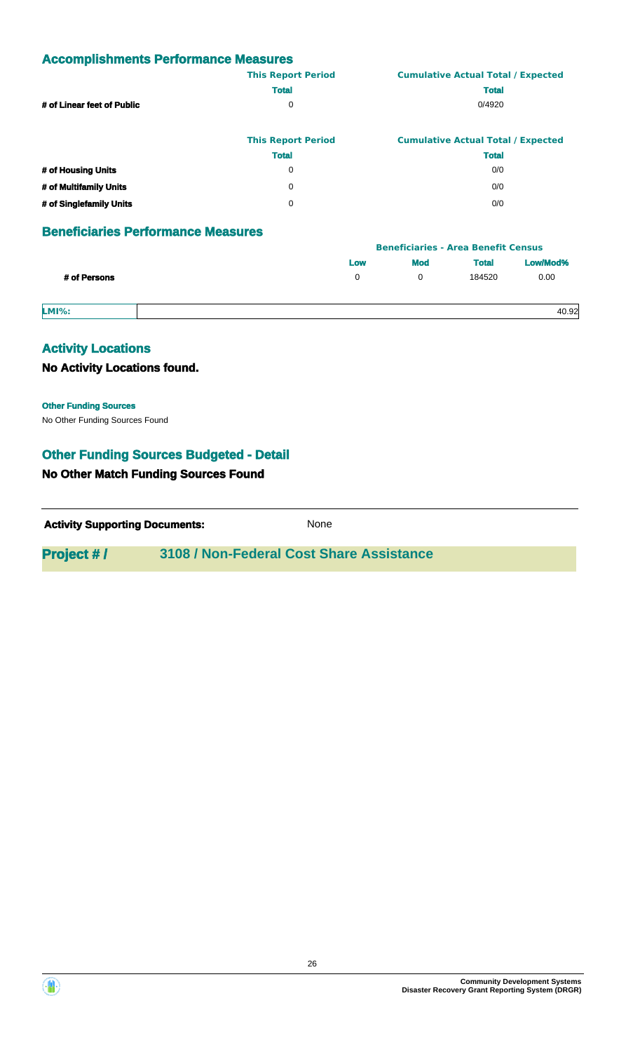|                            | <b>This Report Period</b> | <b>Cumulative Actual Total / Expected</b> |
|----------------------------|---------------------------|-------------------------------------------|
|                            | <b>Total</b>              | <b>Total</b>                              |
| # of Linear feet of Public | 0                         | 0/4920                                    |
|                            |                           |                                           |

|                         | <b>This Report Period</b> | <b>Cumulative Actual Total / Expected</b> |  |  |
|-------------------------|---------------------------|-------------------------------------------|--|--|
|                         | <b>Total</b>              | <b>Total</b>                              |  |  |
| # of Housing Units      | 0                         | 0/0                                       |  |  |
| # of Multifamily Units  | 0                         | 0/0                                       |  |  |
| # of Singlefamily Units | 0                         | 0/0                                       |  |  |

## **Beneficiaries Performance Measures**

|              | <b>Beneficiaries - Area Benefit Census</b> |            |              |          |  |
|--------------|--------------------------------------------|------------|--------------|----------|--|
|              | Low                                        | <b>Mod</b> | <b>Total</b> | Low/Mod% |  |
| # of Persons | 0                                          |            | 184520       | 0.00     |  |
| <b>LMI%:</b> |                                            |            |              | 40.92    |  |

# **Activity Locations**

**No Activity Locations found.**

**Other Funding Sources**

No Other Funding Sources Found

## **Other Funding Sources Budgeted - Detail**

## **No Other Match Funding Sources Found**

**Activity Supporting Documents:** None

## **Project # / 3108 / Non-Federal Cost Share Assistance**



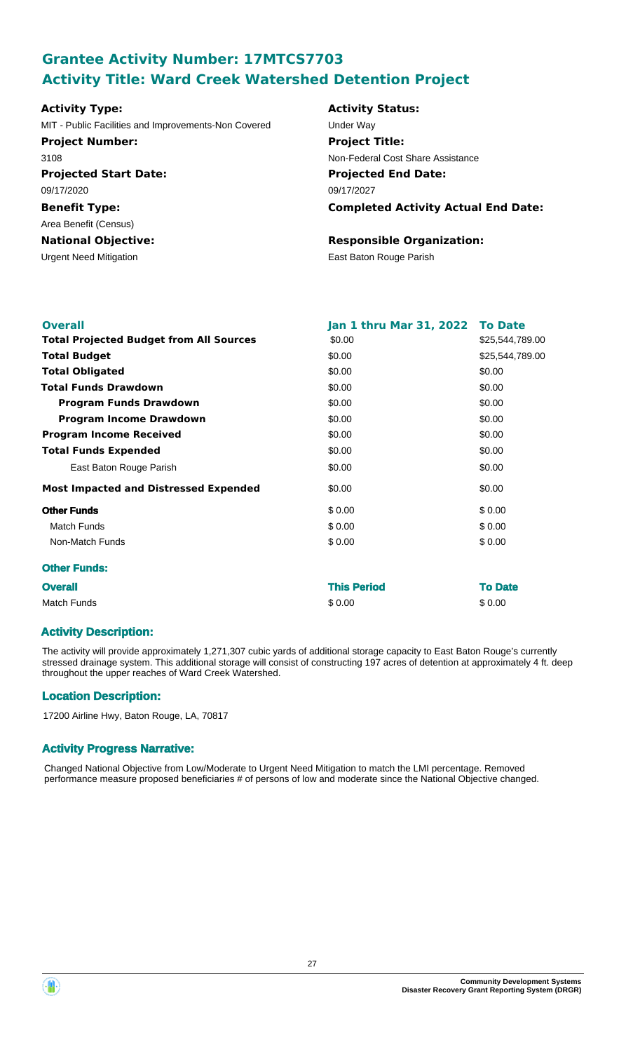# **Grantee Activity Number: 17MTCS7703 Activity Title: Ward Creek Watershed Detention Project**

| <b>Activity Type:</b>                               |
|-----------------------------------------------------|
| MIT - Public Facilities and Improvements-Non Covere |
| <b>Project Number:</b>                              |
| 3108                                                |
| <b>Projected Start Date:</b>                        |
| 09/17/2020                                          |
| <b>Benefit Type:</b>                                |
| Area Benefit (Census)                               |
| <b>National Objective:</b>                          |
| Urgent Need Mitigation                              |

### **Activity Status:**

**Projected End Date: Completed Activity Actual End Date:** 09/17/2027 d Under Way **Project Title:** Non-Federal Cost Share Assistance

## **Responsible Organization:**

East Baton Rouge Parish

| <b>Overall</b>                                 | Jan 1 thru Mar 31, 2022 | <b>To Date</b>  |
|------------------------------------------------|-------------------------|-----------------|
| <b>Total Projected Budget from All Sources</b> | \$0.00                  | \$25,544,789.00 |
| <b>Total Budget</b>                            | \$0.00                  | \$25,544,789.00 |
| <b>Total Obligated</b>                         | \$0.00                  | \$0.00          |
| <b>Total Funds Drawdown</b>                    | \$0.00                  | \$0.00          |
| <b>Program Funds Drawdown</b>                  | \$0.00                  | \$0.00          |
| <b>Program Income Drawdown</b>                 | \$0.00                  | \$0.00          |
| <b>Program Income Received</b>                 | \$0.00                  | \$0.00          |
| <b>Total Funds Expended</b>                    | \$0.00                  | \$0.00          |
| East Baton Rouge Parish                        | \$0.00                  | \$0.00          |
| <b>Most Impacted and Distressed Expended</b>   | \$0.00                  | \$0.00          |
| <b>Other Funds</b>                             | \$0.00                  | \$0.00          |
| Match Funds                                    | \$0.00                  | \$0.00          |
| Non-Match Funds                                | \$0.00                  | \$0.00          |
| <b>Other Funds:</b>                            |                         |                 |
| <b>Overall</b>                                 | <b>This Period</b>      | <b>To Date</b>  |
| <b>Match Funds</b>                             | \$0.00                  | \$0.00          |

### **Activity Description:**

The activity will provide approximately 1,271,307 cubic yards of additional storage capacity to East Baton Rouge's currently stressed drainage system. This additional storage will consist of constructing 197 acres of detention at approximately 4 ft. deep throughout the upper reaches of Ward Creek Watershed.

## **Location Description:**

17200 Airline Hwy, Baton Rouge, LA, 70817

### **Activity Progress Narrative:**

Changed National Objective from Low/Moderate to Urgent Need Mitigation to match the LMI percentage. Removed performance measure proposed beneficiaries # of persons of low and moderate since the National Objective changed.

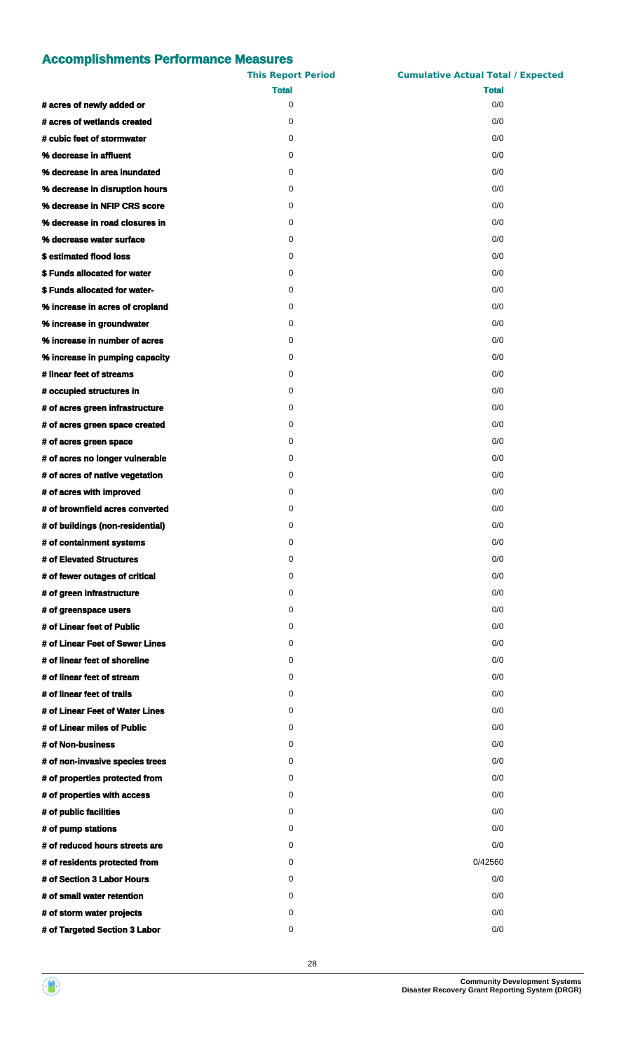|                                  | <b>This Report Period</b> | <b>Cumulative Actual Total / Expected</b> |
|----------------------------------|---------------------------|-------------------------------------------|
|                                  | <b>Total</b>              | <b>Total</b>                              |
| # acres of newly added or        | 0                         | 0/0                                       |
| # acres of wetlands created      | 0                         | 0/0                                       |
| # cubic feet of stormwater       | 0                         | 0/0                                       |
| % decrease in affluent           | 0                         | 0/0                                       |
| % decrease in area inundated     | 0                         | 0/0                                       |
| % decrease in disruption hours   | 0                         | 0/0                                       |
| % decrease in NFIP CRS score     | 0                         | 0/0                                       |
| % decrease in road closures in   | 0                         | 0/0                                       |
| % decrease water surface         | 0                         | 0/0                                       |
| \$estimated flood loss           | 0                         | 0/0                                       |
| \$ Funds allocated for water     | 0                         | 0/0                                       |
| \$ Funds allocated for water-    | 0                         | 0/0                                       |
| % increase in acres of cropland  | 0                         | 0/0                                       |
| % increase in groundwater        | 0                         | 0/0                                       |
| % increase in number of acres    | 0                         | 0/0                                       |
| % increase in pumping capacity   | 0                         | 0/0                                       |
| # linear feet of streams         | 0                         | 0/0                                       |
| # occupied structures in         | 0                         | 0/0                                       |
| # of acres green infrastructure  | 0                         | 0/0                                       |
| # of acres green space created   | 0                         | 0/0                                       |
| # of acres green space           | 0                         | 0/0                                       |
| # of acres no longer vulnerable  | 0                         | 0/0                                       |
| # of acres of native vegetation  | 0                         | 0/0                                       |
| # of acres with improved         | 0                         | 0/0                                       |
| # of brownfield acres converted  | 0                         | 0/0                                       |
| # of buildings (non-residential) | 0                         | 0/0                                       |
| # of containment systems         | 0                         | 0/0                                       |
| # of Elevated Structures         | 0                         | 0/0                                       |
| # of fewer outages of critical   | 0                         | 0/0                                       |
| # of green infrastructure        | 0                         | 0/0                                       |
| # of greenspace users            | 0                         | 0/0                                       |
| # of Linear feet of Public       | 0                         | 0/0                                       |
| # of Linear Feet of Sewer Lines  | 0                         | 0/0                                       |
| # of linear feet of shoreline    | 0                         | 0/0                                       |
| # of linear feet of stream       | 0                         | 0/0                                       |
| # of linear feet of trails       | 0                         | 0/0                                       |
| # of Linear Feet of Water Lines  | 0                         | 0/0                                       |
| # of Linear miles of Public      | 0                         | 0/0                                       |
| # of Non-business                | 0                         | 0/0                                       |
| # of non-invasive species trees  | 0                         | 0/0                                       |
| # of properties protected from   | 0                         | 0/0                                       |
| # of properties with access      | 0                         | 0/0                                       |
| # of public facilities           | 0                         | 0/0                                       |
| # of pump stations               | 0                         | 0/0                                       |
| # of reduced hours streets are   | 0                         | 0/0                                       |
| # of residents protected from    | 0                         | 0/42560                                   |
| # of Section 3 Labor Hours       | 0                         | 0/0                                       |
| # of small water retention       | 0                         | 0/0                                       |
| # of storm water projects        | 0                         | 0/0                                       |
|                                  | 0                         | 0/0                                       |
| # of Targeted Section 3 Labor    |                           |                                           |

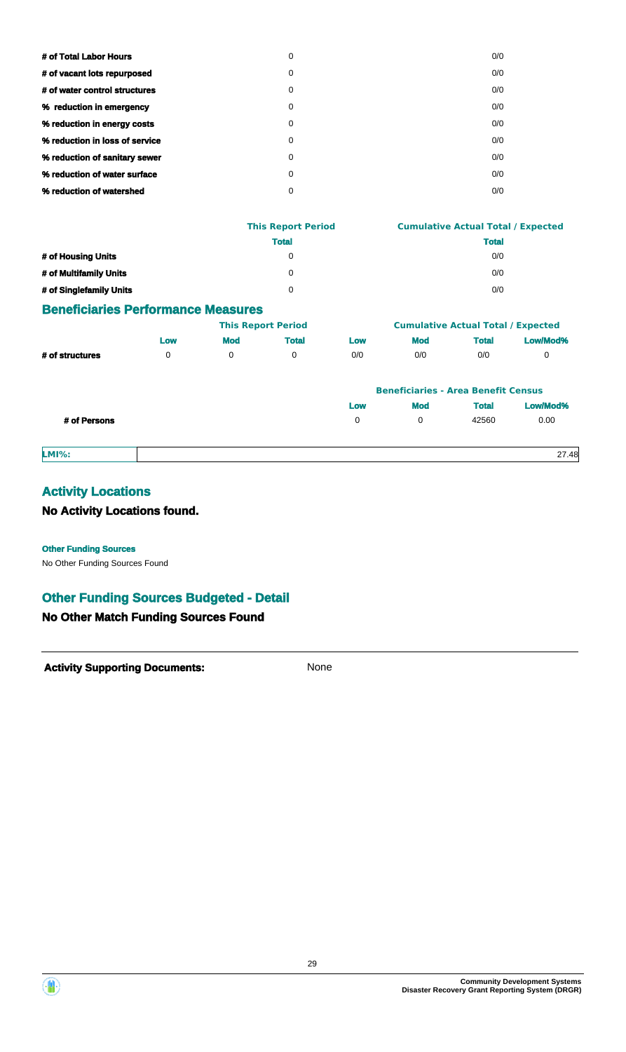| # of Total Labor Hours         | 0 | 0/0 |
|--------------------------------|---|-----|
| # of vacant lots repurposed    | 0 | 0/0 |
| # of water control structures  | 0 | 0/0 |
| % reduction in emergency       | 0 | 0/0 |
| % reduction in energy costs    | 0 | 0/0 |
| % reduction in loss of service | 0 | 0/0 |
| % reduction of sanitary sewer  | 0 | 0/0 |
| % reduction of water surface   | 0 | 0/0 |
| % reduction of watershed       | 0 | 0/0 |
|                                |   |     |

|                         | <b>This Report Period</b> | <b>Cumulative Actual Total / Expected</b> |  |  |
|-------------------------|---------------------------|-------------------------------------------|--|--|
|                         | <b>Total</b>              | <b>Total</b>                              |  |  |
| # of Housing Units      | 0                         | 0/0                                       |  |  |
| # of Multifamily Units  | 0                         | 0/0                                       |  |  |
| # of Singlefamily Units | 0                         | 0/0                                       |  |  |

### **Beneficiaries Performance Measures**

|                 |     | <b>This Report Period</b> |       | <b>Cumulative Actual Total / Expected</b> |            |       |          |
|-----------------|-----|---------------------------|-------|-------------------------------------------|------------|-------|----------|
|                 | Low | Mod                       | Total | LOW                                       | <b>Mod</b> | Total | Low/Mod% |
| # of structures |     |                           |       | 0/0                                       | 0/0        | 0/0   |          |

|              | <b>Beneficiaries - Area Benefit Census</b> |            |              |          |
|--------------|--------------------------------------------|------------|--------------|----------|
|              | Low                                        | Mod        | <b>Total</b> | Low/Mod% |
| # of Persons | $\Omega$                                   | $^{\circ}$ | 42560        | 0.00     |
|              |                                            |            |              |          |

**LMI%:** 27.48

# **Activity Locations**

## **No Activity Locations found.**

#### **Other Funding Sources**

No Other Funding Sources Found

## **Other Funding Sources Budgeted - Detail**

## **No Other Match Funding Sources Found**

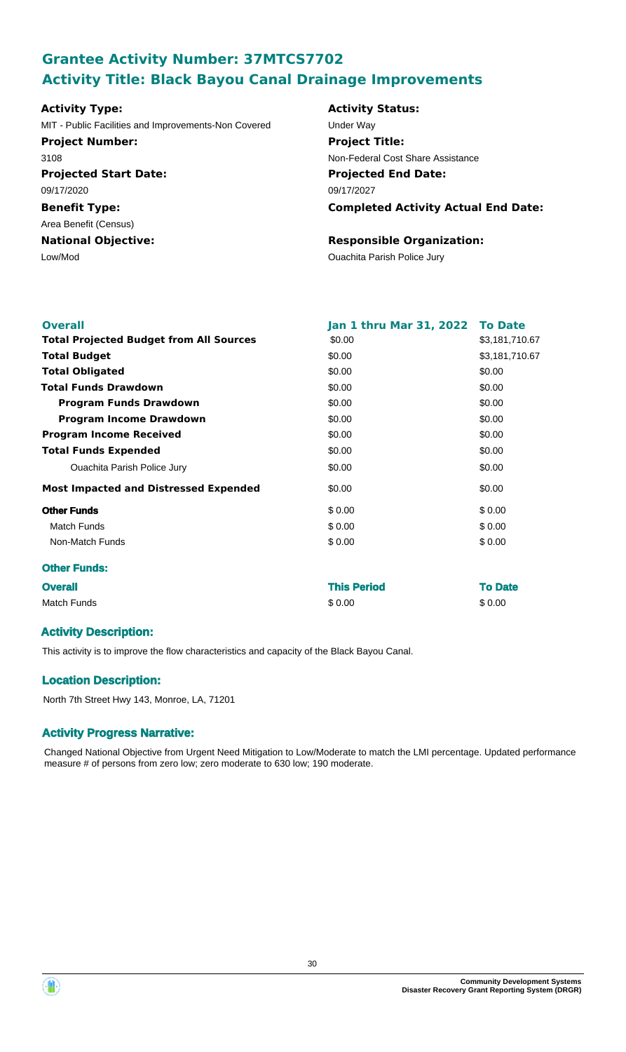# **Grantee Activity Number: 37MTCS7702 Activity Title: Black Bayou Canal Drainage Improvements**

| <b>Activity Type:</b>                                | <b>Activity Status:</b>            |  |  |
|------------------------------------------------------|------------------------------------|--|--|
| MIT - Public Facilities and Improvements-Non Covered | Under Way                          |  |  |
| <b>Project Number:</b>                               | <b>Project Title:</b>              |  |  |
| 3108                                                 | Non-Federal Cost Share As:         |  |  |
| <b>Projected Start Date:</b>                         | <b>Projected End Date:</b>         |  |  |
| 09/17/2020                                           | 09/17/2027                         |  |  |
| <b>Benefit Type:</b>                                 | <b>Completed Activity</b>          |  |  |
| Area Benefit (Census)                                |                                    |  |  |
| <b>National Objective:</b>                           | <b>Responsible Organiz</b>         |  |  |
| Low/Mod                                              | <b>Ouachita Parish Police Jury</b> |  |  |

## **Activity Status: Projected End Date:** 09/17/2027 red **Under Way Project Title:** Non-Federal Cost Share Assistance

**Completed Activity Actual End Date:**

### **Responsible Organization:**

| <b>Overall</b>                                 | Jan 1 thru Mar 31, 2022 To Date |                |
|------------------------------------------------|---------------------------------|----------------|
| <b>Total Projected Budget from All Sources</b> | \$0.00                          | \$3,181,710.67 |
| <b>Total Budget</b>                            | \$0.00                          | \$3,181,710.67 |
| <b>Total Obligated</b>                         | \$0.00                          | \$0.00         |
| <b>Total Funds Drawdown</b>                    | \$0.00                          | \$0.00         |
| <b>Program Funds Drawdown</b>                  | \$0.00                          | \$0.00         |
| <b>Program Income Drawdown</b>                 | \$0.00                          | \$0.00         |
| <b>Program Income Received</b>                 | \$0.00                          | \$0.00         |
| <b>Total Funds Expended</b>                    | \$0.00                          | \$0.00         |
| <b>Ouachita Parish Police Jury</b>             | \$0.00                          | \$0.00         |
| <b>Most Impacted and Distressed Expended</b>   | \$0.00                          | \$0.00         |
| <b>Other Funds</b>                             | \$0.00                          | \$0.00         |
| <b>Match Funds</b>                             | \$0.00                          | \$0.00         |
| Non-Match Funds                                | \$0.00                          | \$0.00         |
| <b>Other Funds:</b>                            |                                 |                |
| <b>Overall</b>                                 | <b>This Period</b>              | <b>To Date</b> |
| <b>Match Funds</b>                             | \$0.00                          | \$0.00         |

## **Activity Description:**

This activity is to improve the flow characteristics and capacity of the Black Bayou Canal.

## **Location Description:**

North 7th Street Hwy 143, Monroe, LA, 71201

## **Activity Progress Narrative:**

Changed National Objective from Urgent Need Mitigation to Low/Moderate to match the LMI percentage. Updated performance measure # of persons from zero low; zero moderate to 630 low; 190 moderate.

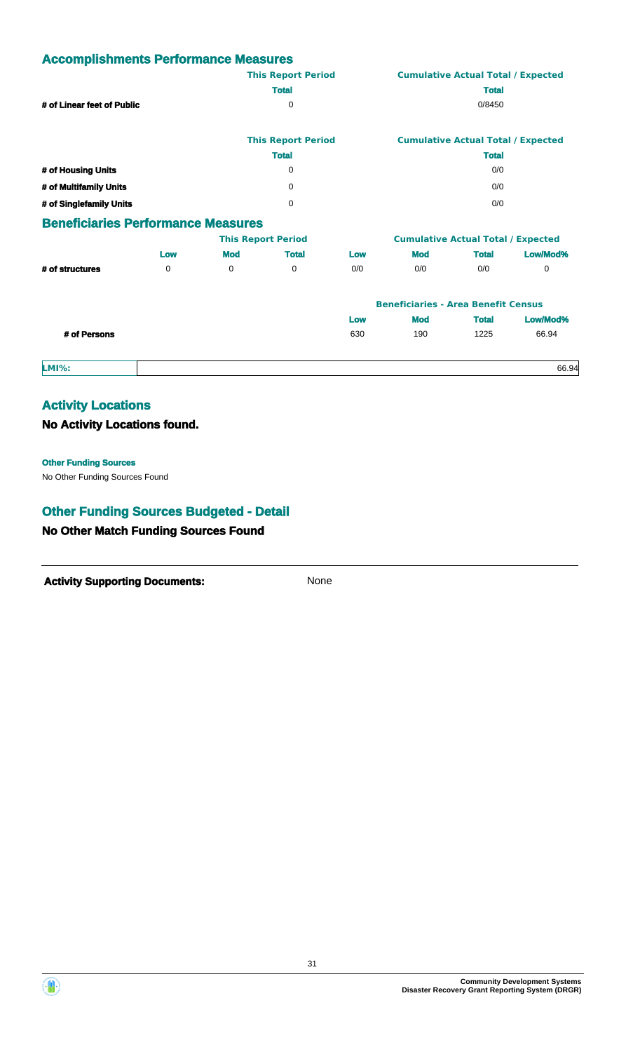|                                           |     |            | <b>This Report Period</b> |     |                                           |              | <b>Cumulative Actual Total / Expected</b> |  |
|-------------------------------------------|-----|------------|---------------------------|-----|-------------------------------------------|--------------|-------------------------------------------|--|
|                                           |     |            | <b>Total</b>              |     |                                           | <b>Total</b> |                                           |  |
| # of Linear feet of Public                |     |            | 0                         |     |                                           | 0/8450       |                                           |  |
|                                           |     |            | <b>This Report Period</b> |     |                                           |              | <b>Cumulative Actual Total / Expected</b> |  |
|                                           |     |            | <b>Total</b>              |     |                                           | <b>Total</b> |                                           |  |
| # of Housing Units                        |     |            | 0                         |     | 0/0                                       |              |                                           |  |
| # of Multifamily Units                    |     |            | $\mathbf 0$               |     | 0/0                                       |              |                                           |  |
| # of Singlefamily Units                   |     |            | $\Omega$                  |     | 0/0                                       |              |                                           |  |
| <b>Beneficiaries Performance Measures</b> |     |            |                           |     |                                           |              |                                           |  |
|                                           |     |            | <b>This Report Period</b> |     | <b>Cumulative Actual Total / Expected</b> |              |                                           |  |
|                                           | Low | <b>Mod</b> | <b>Total</b>              | Low | <b>Mod</b>                                | <b>Total</b> | Low/Mod%                                  |  |
| # of structures                           | 0   | 0          | 0                         | 0/0 | 0/0                                       | 0/0          | 0                                         |  |

|              |     | <b>Beneficiaries - Area Benefit Census</b> |       |          |
|--------------|-----|--------------------------------------------|-------|----------|
|              | Low | <b>Mod</b>                                 | Total | Low/Mod% |
| # of Persons | 630 | 190                                        | 1225  | 66.94    |

#### **LMI%:** 66.94

## **Activity Locations**

## **No Activity Locations found.**

#### **Other Funding Sources**

No Other Funding Sources Found

# **Other Funding Sources Budgeted - Detail**

## **No Other Match Funding Sources Found**



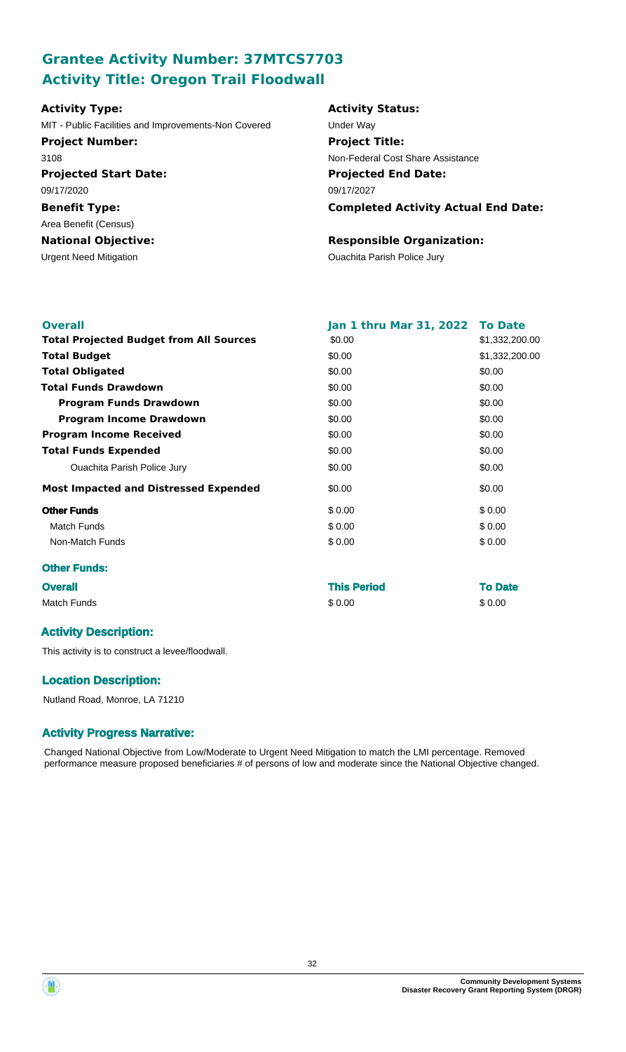# **Grantee Activity Number: 37MTCS7703 Activity Title: Oregon Trail Floodwall**

| <b>Activity Type:</b>                                | <b>Activity Status:</b>                    |
|------------------------------------------------------|--------------------------------------------|
| MIT - Public Facilities and Improvements-Non Covered | Under Way                                  |
| <b>Project Number:</b>                               | <b>Project Title:</b>                      |
| 3108                                                 | Non-Federal Cost Share Assistance          |
| <b>Projected Start Date:</b>                         | <b>Projected End Date:</b>                 |
| 09/17/2020                                           | 09/17/2027                                 |
| <b>Benefit Type:</b>                                 | <b>Completed Activity Actual End Date:</b> |
| Area Benefit (Census)                                |                                            |
| <b>National Objective:</b>                           | <b>Responsible Organization:</b>           |
| <b>Urgent Need Mitigation</b>                        | <b>Ouachita Parish Police Jury</b>         |

| <b>Overall</b>                                 | Jan 1 thru Mar 31, 2022 To Date |                |
|------------------------------------------------|---------------------------------|----------------|
| <b>Total Projected Budget from All Sources</b> | \$0.00                          | \$1,332,200.00 |
| <b>Total Budget</b>                            | \$0.00                          | \$1,332,200.00 |
| <b>Total Obligated</b>                         | \$0.00                          | \$0.00         |
| <b>Total Funds Drawdown</b>                    | \$0.00                          | \$0.00         |
| <b>Program Funds Drawdown</b>                  | \$0.00                          | \$0.00         |
| <b>Program Income Drawdown</b>                 | \$0.00                          | \$0.00         |
| <b>Program Income Received</b>                 | \$0.00                          | \$0.00         |
| <b>Total Funds Expended</b>                    | \$0.00                          | \$0.00         |
| <b>Ouachita Parish Police Jury</b>             | \$0.00                          | \$0.00         |
| <b>Most Impacted and Distressed Expended</b>   | \$0.00                          | \$0.00         |
| <b>Other Funds</b>                             | \$0.00                          | \$0.00         |
| <b>Match Funds</b>                             | \$0.00                          | \$0.00         |
| Non-Match Funds                                | \$0.00                          | \$0.00         |
| <b>Other Funds:</b>                            |                                 |                |
| <b>Overall</b>                                 | <b>This Period</b>              | <b>To Date</b> |

| <b>Overall</b> | THIS FUILL | To Date |
|----------------|------------|---------|
| Match Funds    | \$0.00     | \$0.00  |

## **Activity Description:**

This activity is to construct a levee/floodwall.

## **Location Description:**

Nutland Road, Monroe, LA 71210

## **Activity Progress Narrative:**

Changed National Objective from Low/Moderate to Urgent Need Mitigation to match the LMI percentage. Removed performance measure proposed beneficiaries # of persons of low and moderate since the National Objective changed.



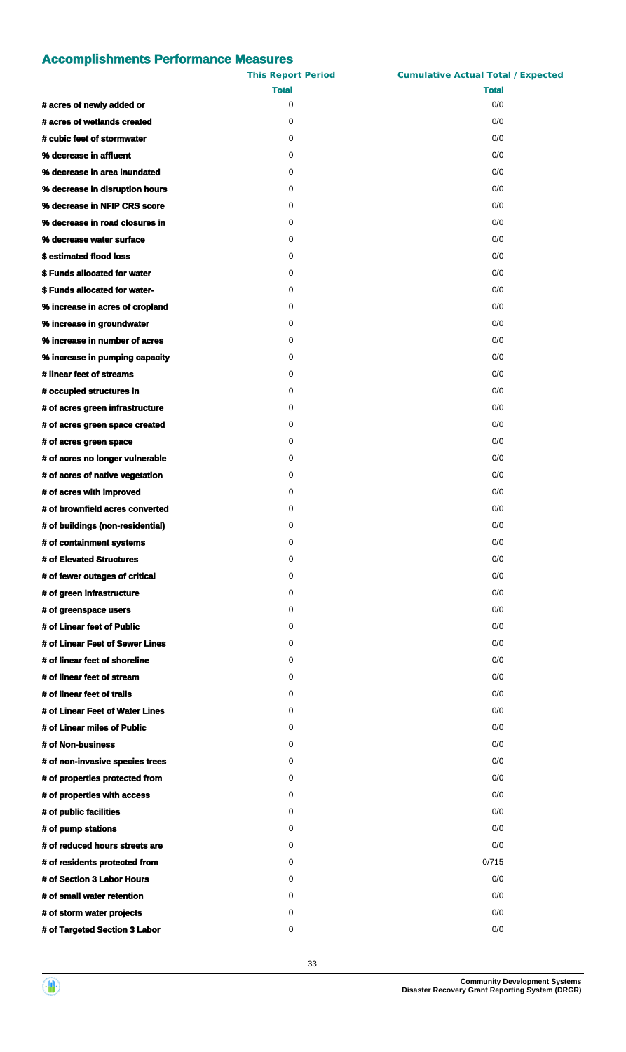|                                  | <b>This Report Period</b> | <b>Cumulative Actual Total / Expected</b> |
|----------------------------------|---------------------------|-------------------------------------------|
|                                  | <b>Total</b>              | <b>Total</b>                              |
| # acres of newly added or        | 0                         | 0/0                                       |
| # acres of wetlands created      | 0                         | 0/0                                       |
| # cubic feet of stormwater       | 0                         | 0/0                                       |
| % decrease in affluent           | 0                         | 0/0                                       |
| % decrease in area inundated     | 0                         | 0/0                                       |
| % decrease in disruption hours   | 0                         | 0/0                                       |
| % decrease in NFIP CRS score     | 0                         | 0/0                                       |
| % decrease in road closures in   | 0                         | 0/0                                       |
| % decrease water surface         | 0                         | 0/0                                       |
| \$estimated flood loss           | 0                         | 0/0                                       |
| \$ Funds allocated for water     | 0                         | 0/0                                       |
| \$ Funds allocated for water-    | 0                         | 0/0                                       |
| % increase in acres of cropland  | 0                         | 0/0                                       |
| % increase in groundwater        | 0                         | 0/0                                       |
| % increase in number of acres    | 0                         | 0/0                                       |
| % increase in pumping capacity   | 0                         | 0/0                                       |
| # linear feet of streams         | 0                         | 0/0                                       |
| # occupied structures in         | 0                         | 0/0                                       |
| # of acres green infrastructure  | 0                         | 0/0                                       |
| # of acres green space created   | 0                         | 0/0                                       |
| # of acres green space           | 0                         | 0/0                                       |
| # of acres no longer vulnerable  | 0                         | 0/0                                       |
| # of acres of native vegetation  | 0                         | 0/0                                       |
| # of acres with improved         | 0                         | 0/0                                       |
| # of brownfield acres converted  | 0                         | 0/0                                       |
|                                  | 0                         |                                           |
| # of buildings (non-residential) |                           | 0/0                                       |
| # of containment systems         | 0                         | 0/0                                       |
| # of Elevated Structures         | 0                         | 0/0                                       |
| # of fewer outages of critical   | 0                         | 0/0                                       |
| # of green infrastructure        | 0                         | 0/0                                       |
| # of greenspace users            | 0                         | 0/0                                       |
| # of Linear feet of Public       | 0                         | 0/0                                       |
| # of Linear Feet of Sewer Lines  | 0                         | 0/0                                       |
| # of linear feet of shoreline    | 0                         | 0/0                                       |
| # of linear feet of stream       | 0                         | 0/0                                       |
| # of linear feet of trails       | 0                         | 0/0                                       |
| # of Linear Feet of Water Lines  | 0                         | 0/0                                       |
| # of Linear miles of Public      | 0                         | 0/0                                       |
| # of Non-business                | 0                         | 0/0                                       |
| # of non-invasive species trees  | 0                         | 0/0                                       |
| # of properties protected from   | 0                         | 0/0                                       |
| # of properties with access      | 0                         | 0/0                                       |
| # of public facilities           | 0                         | 0/0                                       |
| # of pump stations               | 0                         | 0/0                                       |
| # of reduced hours streets are   | 0                         | 0/0                                       |
| # of residents protected from    | 0                         | 0/715                                     |
| # of Section 3 Labor Hours       | 0                         | 0/0                                       |
| # of small water retention       | 0                         | 0/0                                       |
| # of storm water projects        | 0                         | 0/0                                       |
| # of Targeted Section 3 Labor    | 0                         | 0/0                                       |

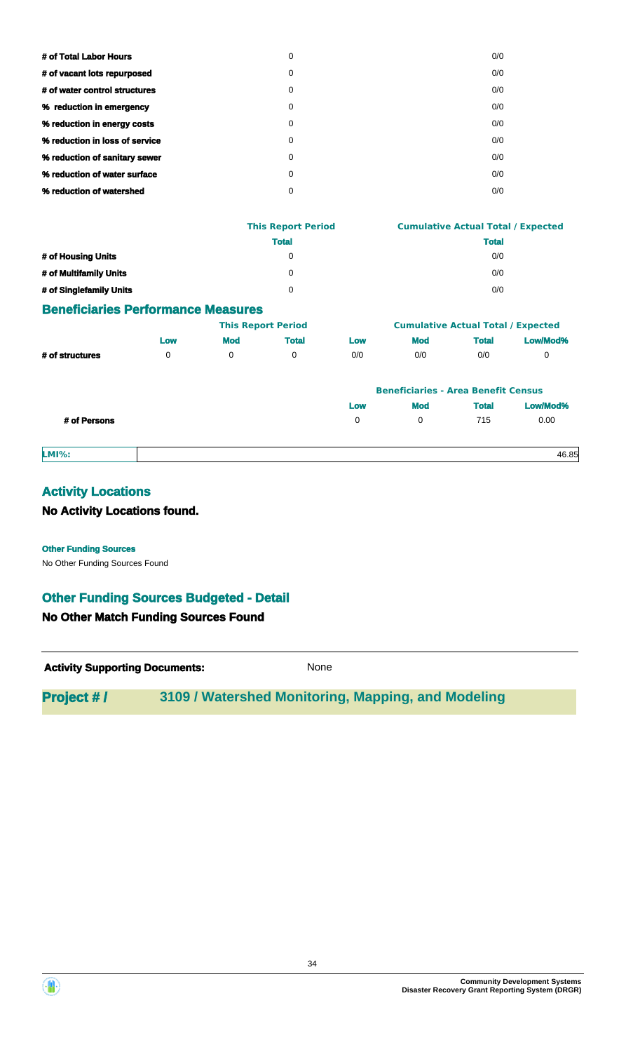| # of Total Labor Hours         | 0 | 0/0 |
|--------------------------------|---|-----|
| # of vacant lots repurposed    | 0 | 0/0 |
| # of water control structures  | 0 | 0/0 |
| % reduction in emergency       | 0 | 0/0 |
| % reduction in energy costs    | 0 | 0/0 |
| % reduction in loss of service | 0 | 0/0 |
| % reduction of sanitary sewer  | 0 | 0/0 |
| % reduction of water surface   | 0 | 0/0 |
| % reduction of watershed       | 0 | 0/0 |
|                                |   |     |

|                         | <b>This Report Period</b> | <b>Cumulative Actual Total / Expected</b> |
|-------------------------|---------------------------|-------------------------------------------|
|                         | <b>Total</b>              | <b>Total</b>                              |
| # of Housing Units      | 0                         | 0/0                                       |
| # of Multifamily Units  | $\Omega$                  | 0/0                                       |
| # of Singlefamily Units | 0                         | 0/0                                       |

### **Beneficiaries Performance Measures**

|                 |     | <b>This Report Period</b> |       |     | <b>Cumulative Actual Total / Expected</b> |              |          |
|-----------------|-----|---------------------------|-------|-----|-------------------------------------------|--------------|----------|
|                 | Low | <b>Mod</b>                | Total | Low | <b>Mod</b>                                | <b>Total</b> | Low/Mod% |
| # of structures |     |                           |       | 0/0 | 0/0                                       | 0/0          |          |

|              | <b>Beneficiaries - Area Benefit Census</b> |            |              |          |
|--------------|--------------------------------------------|------------|--------------|----------|
|              | Low                                        | <b>Mod</b> | <b>Total</b> | Low/Mod% |
| # of Persons | $\Omega$                                   |            | 715          | 0.00     |
|              |                                            |            |              |          |

**LMI%:** 46.85

## **Activity Locations**

## **No Activity Locations found.**

No Other Funding Sources Found **Other Funding Sources**

## **Other Funding Sources Budgeted - Detail**

## **No Other Match Funding Sources Found**



## **Project # / 3109 / Watershed Monitoring, Mapping, and Modeling**



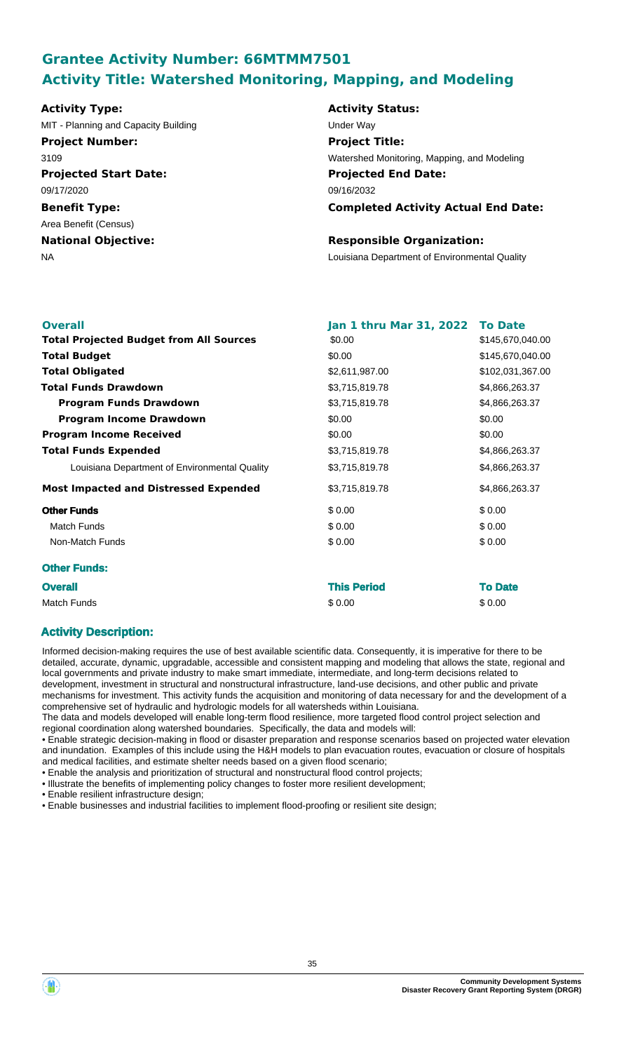# **Grantee Activity Number: 66MTMM7501 Activity Title: Watershed Monitoring, Mapping, and Modeling**

#### **Activity Type:**

MIT - Planning and Capacity Building Under Way **Project Number:**

3109

**Projected Start Date:** 09/17/2020

**Benefit Type:** Area Benefit (Census)

**National Objective:**

# **Activity Status: Projected End Date: Completed Activity Actual End Date:** 09/16/2032 **Project Title:** Watershed Monitoring, Mapping, and Modeling

## **Responsible Organization:**

NA Louisiana Department of Environmental Quality

| <b>Overall</b>                                 | Jan 1 thru Mar 31, 2022 To Date<br>\$0.00 |                  |
|------------------------------------------------|-------------------------------------------|------------------|
| <b>Total Projected Budget from All Sources</b> |                                           | \$145,670,040.00 |
| <b>Total Budget</b>                            | \$0.00                                    | \$145,670,040.00 |
| <b>Total Obligated</b>                         | \$2,611,987.00                            | \$102,031,367.00 |
| <b>Total Funds Drawdown</b>                    | \$3,715,819.78                            | \$4,866,263.37   |
| <b>Program Funds Drawdown</b>                  | \$3,715,819.78                            | \$4,866,263.37   |
| <b>Program Income Drawdown</b>                 | \$0.00                                    | \$0.00           |
| <b>Program Income Received</b>                 | \$0.00                                    | \$0.00           |
| <b>Total Funds Expended</b>                    | \$3,715,819.78                            | \$4,866,263.37   |
| Louisiana Department of Environmental Quality  | \$3,715,819.78                            | \$4,866,263.37   |
| <b>Most Impacted and Distressed Expended</b>   | \$3,715,819.78                            | \$4,866,263.37   |
| <b>Other Funds</b>                             | \$0.00                                    | \$0.00           |
| <b>Match Funds</b>                             | \$0.00                                    | \$0.00           |
| Non-Match Funds                                | \$0.00                                    | \$0.00           |
| <b>Other Funds:</b>                            |                                           |                  |
| <b>Overall</b>                                 | <b>This Period</b>                        | <b>To Date</b>   |
| <b>Match Funds</b>                             | \$0.00                                    | \$0.00           |

## **Activity Description:**

Informed decision-making requires the use of best available scientific data. Consequently, it is imperative for there to be detailed, accurate, dynamic, upgradable, accessible and consistent mapping and modeling that allows the state, regional and local governments and private industry to make smart immediate, intermediate, and long-term decisions related to development, investment in structural and nonstructural infrastructure, land-use decisions, and other public and private mechanisms for investment. This activity funds the acquisition and monitoring of data necessary for and the development of a

comprehensive set of hydraulic and hydrologic models for all watersheds within Louisiana.

The data and models developed will enable long-term flood resilience, more targeted flood control project selection and regional coordination along watershed boundaries. Specifically, the data and models will:

• Enable strategic decision-making in flood or disaster preparation and response scenarios based on projected water elevation and inundation. Examples of this include using the H&H models to plan evacuation routes, evacuation or closure of hospitals and medical facilities, and estimate shelter needs based on a given flood scenario;

• Enable the analysis and prioritization of structural and nonstructural flood control projects;

• Illustrate the benefits of implementing policy changes to foster more resilient development;

• Enable resilient infrastructure design;

• Enable businesses and industrial facilities to implement flood-proofing or resilient site design;

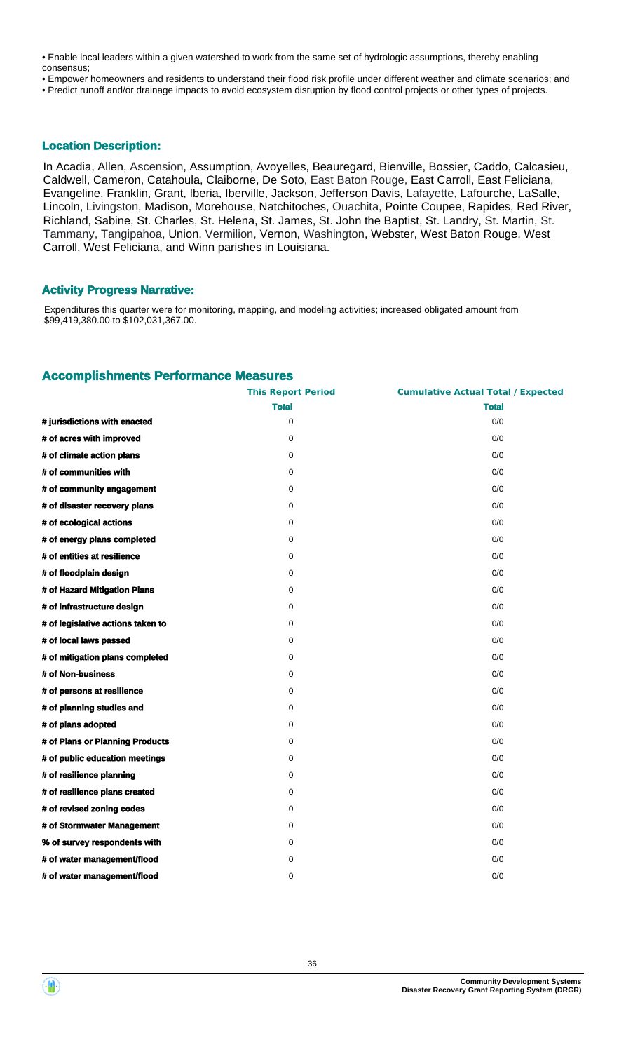• Enable local leaders within a given watershed to work from the same set of hydrologic assumptions, thereby enabling consensus;

• Empower homeowners and residents to understand their flood risk profile under different weather and climate scenarios; and • Predict runoff and/or drainage impacts to avoid ecosystem disruption by flood control projects or other types of projects.

### **Location Description:**

In Acadia, Allen, Ascension, Assumption, Avoyelles, Beauregard, Bienville, Bossier, Caddo, Calcasieu, Caldwell, Cameron, Catahoula, Claiborne, De Soto, East Baton Rouge, East Carroll, East Feliciana, Evangeline, Franklin, Grant, Iberia, Iberville, Jackson, Jefferson Davis, Lafayette, Lafourche, LaSalle, Lincoln, Livingston, Madison, Morehouse, Natchitoches, Ouachita, Pointe Coupee, Rapides, Red River, Richland, Sabine, St. Charles, St. Helena, St. James, St. John the Baptist, St. Landry, St. Martin, St. Tammany, Tangipahoa, Union, Vermilion, Vernon, Washington, Webster, West Baton Rouge, West Carroll, West Feliciana, and Winn parishes in Louisiana.

#### **Activity Progress Narrative:**

Expenditures this quarter were for monitoring, mapping, and modeling activities; increased obligated amount from \$99,419,380.00 to \$102,031,367.00.

### **Accomplishments Performance Measures**

|                                   | <b>This Report Period</b> | <b>Cumulative Actual Total / Expected</b> |
|-----------------------------------|---------------------------|-------------------------------------------|
|                                   | <b>Total</b>              | <b>Total</b>                              |
| # jurisdictions with enacted      | $\mathbf 0$               | 0/0                                       |
| # of acres with improved          | $\mathbf 0$               | 0/0                                       |
| # of climate action plans         | $\mathbf 0$               | 0/0                                       |
| # of communities with             | $\mathbf 0$               | 0/0                                       |
| # of community engagement         | 0                         | 0/0                                       |
| # of disaster recovery plans      | $\mathbf 0$               | 0/0                                       |
| # of ecological actions           | 0                         | 0/0                                       |
| # of energy plans completed       | $\mathbf 0$               | 0/0                                       |
| # of entities at resilience       | 0                         | 0/0                                       |
| # of floodplain design            | $\mathbf 0$               | 0/0                                       |
| # of Hazard Mitigation Plans      | 0                         | 0/0                                       |
| # of infrastructure design        | $\mathbf 0$               | 0/0                                       |
| # of legislative actions taken to | 0                         | 0/0                                       |
| # of local laws passed            | $\mathbf 0$               | 0/0                                       |
| # of mitigation plans completed   | 0                         | 0/0                                       |
| # of Non-business                 | $\mathbf 0$               | 0/0                                       |
| # of persons at resilience        | $\mathbf 0$               | 0/0                                       |
| # of planning studies and         | 0                         | 0/0                                       |
| # of plans adopted                | $\mathbf 0$               | 0/0                                       |
| # of Plans or Planning Products   | 0                         | 0/0                                       |
| # of public education meetings    | $\mathbf 0$               | 0/0                                       |
| # of resilience planning          | $\mathbf 0$               | 0/0                                       |
| # of resilience plans created     | $\mathbf 0$               | 0/0                                       |
| # of revised zoning codes         | 0                         | 0/0                                       |
| # of Stormwater Management        | $\mathbf 0$               | 0/0                                       |
| % of survey respondents with      | $\mathbf 0$               | 0/0                                       |
| # of water management/flood       | $\mathbf 0$               | 0/0                                       |
| # of water management/flood       | 0                         | 0/0                                       |
|                                   |                           |                                           |



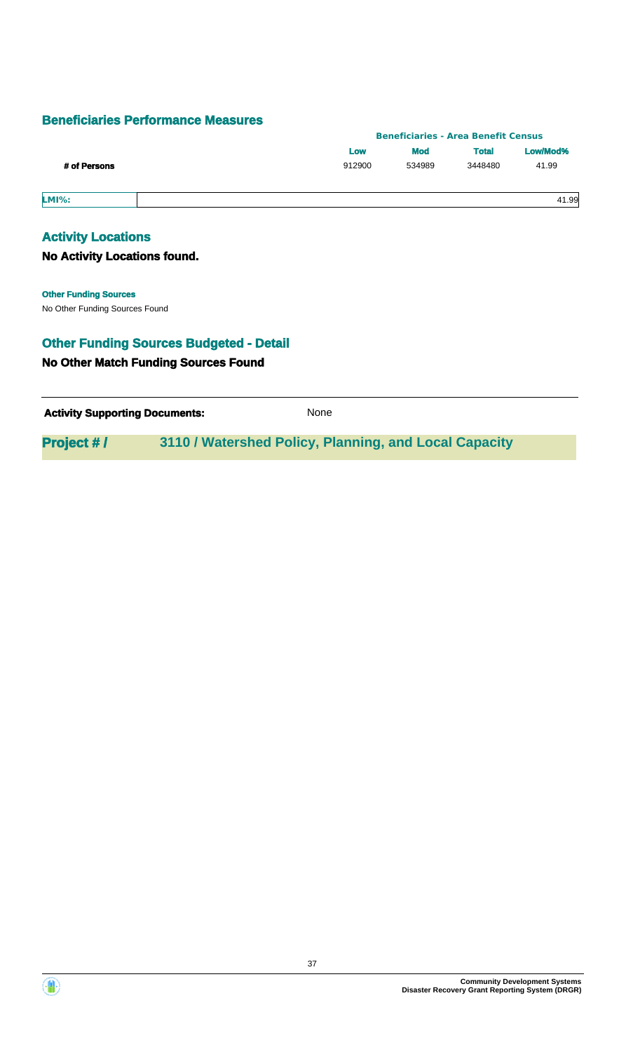## **Beneficiaries Performance Measures**

|              | <b>Beneficiaries - Area Benefit Census</b> |            |              |          |
|--------------|--------------------------------------------|------------|--------------|----------|
|              | Low                                        | <b>Mod</b> | <b>Total</b> | Low/Mod% |
| # of Persons | 912900                                     | 534989     | 3448480      | 41.99    |
| <b>LMI%:</b> |                                            |            |              | 41.99    |

## **Activity Locations**

**No Activity Locations found.**

## **Other Funding Sources**

No Other Funding Sources Found

## **No Other Match Funding Sources Found Other Funding Sources Budgeted - Detail**

| <b>Activity Supporting Documents:</b> | <b>None</b> |
|---------------------------------------|-------------|
|                                       |             |

**Project # / 3110 / Watershed Policy, Planning, and Local Capacity**

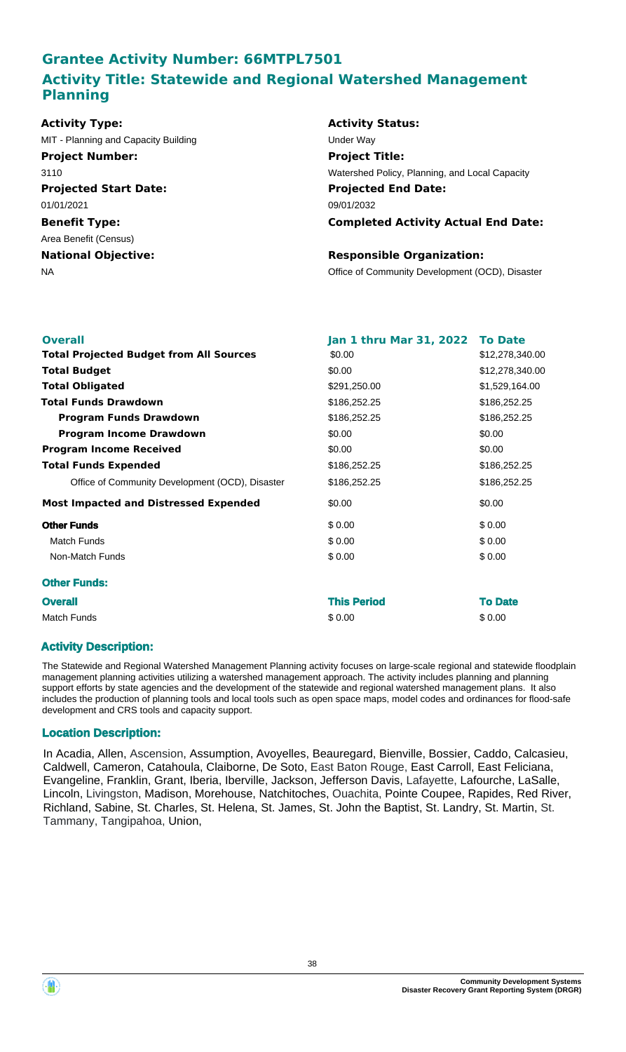# **Grantee Activity Number: 66MTPL7501 Activity Title: Statewide and Regional Watershed Management Planning**

| Activity Type:                       | <b>Activity Status:</b>                         |
|--------------------------------------|-------------------------------------------------|
| MIT - Planning and Capacity Building | Under Way                                       |
| <b>Project Number:</b>               | <b>Project Title:</b>                           |
| 3110                                 | Watershed Policy, Planning, and Local Capacity  |
| <b>Projected Start Date:</b>         | <b>Projected End Date:</b>                      |
| 01/01/2021                           | 09/01/2032                                      |
| <b>Benefit Type:</b>                 | <b>Completed Activity Actual End Date:</b>      |
| Area Benefit (Census)                |                                                 |
| <b>National Objective:</b>           | <b>Responsible Organization:</b>                |
| NA                                   | Office of Community Development (OCD), Disaster |
|                                      |                                                 |
|                                      |                                                 |

| <b>Overall</b>                                  | Jan 1 thru Mar 31, 2022 To Date |                 |
|-------------------------------------------------|---------------------------------|-----------------|
| <b>Total Projected Budget from All Sources</b>  | \$0.00                          | \$12,278,340.00 |
| <b>Total Budget</b>                             | \$0.00                          | \$12,278,340.00 |
| <b>Total Obligated</b>                          | \$291,250.00                    | \$1,529,164.00  |
| <b>Total Funds Drawdown</b>                     | \$186,252.25                    | \$186,252.25    |
| <b>Program Funds Drawdown</b>                   | \$186,252.25                    | \$186,252.25    |
| <b>Program Income Drawdown</b>                  | \$0.00                          | \$0.00          |
| <b>Program Income Received</b>                  | \$0.00                          | \$0.00          |
| <b>Total Funds Expended</b>                     | \$186,252.25                    | \$186,252.25    |
| Office of Community Development (OCD), Disaster | \$186,252.25                    | \$186,252.25    |
| <b>Most Impacted and Distressed Expended</b>    | \$0.00                          | \$0.00          |
| <b>Other Funds</b>                              | \$0.00                          | \$0.00          |
| Match Funds                                     | \$0.00                          | \$0.00          |
| Non-Match Funds                                 | \$0.00                          | \$0.00          |
| <b>Other Funds:</b>                             |                                 |                 |
| <b>Overall</b>                                  | <b>This Period</b>              | <b>To Date</b>  |
| <b>Match Funds</b>                              | \$0.00                          | \$0.00          |

## **Activity Description:**

The Statewide and Regional Watershed Management Planning activity focuses on large-scale regional and statewide floodplain management planning activities utilizing a watershed management approach. The activity includes planning and planning support efforts by state agencies and the development of the statewide and regional watershed management plans. It also includes the production of planning tools and local tools such as open space maps, model codes and ordinances for flood-safe development and CRS tools and capacity support.

## **Location Description:**

In Acadia, Allen, Ascension, Assumption, Avoyelles, Beauregard, Bienville, Bossier, Caddo, Calcasieu, Caldwell, Cameron, Catahoula, Claiborne, De Soto, East Baton Rouge, East Carroll, East Feliciana, Evangeline, Franklin, Grant, Iberia, Iberville, Jackson, Jefferson Davis, Lafayette, Lafourche, LaSalle, Lincoln, Livingston, Madison, Morehouse, Natchitoches, Ouachita, Pointe Coupee, Rapides, Red River, Richland, Sabine, St. Charles, St. Helena, St. James, St. John the Baptist, St. Landry, St. Martin, St. Tammany, Tangipahoa, Union,